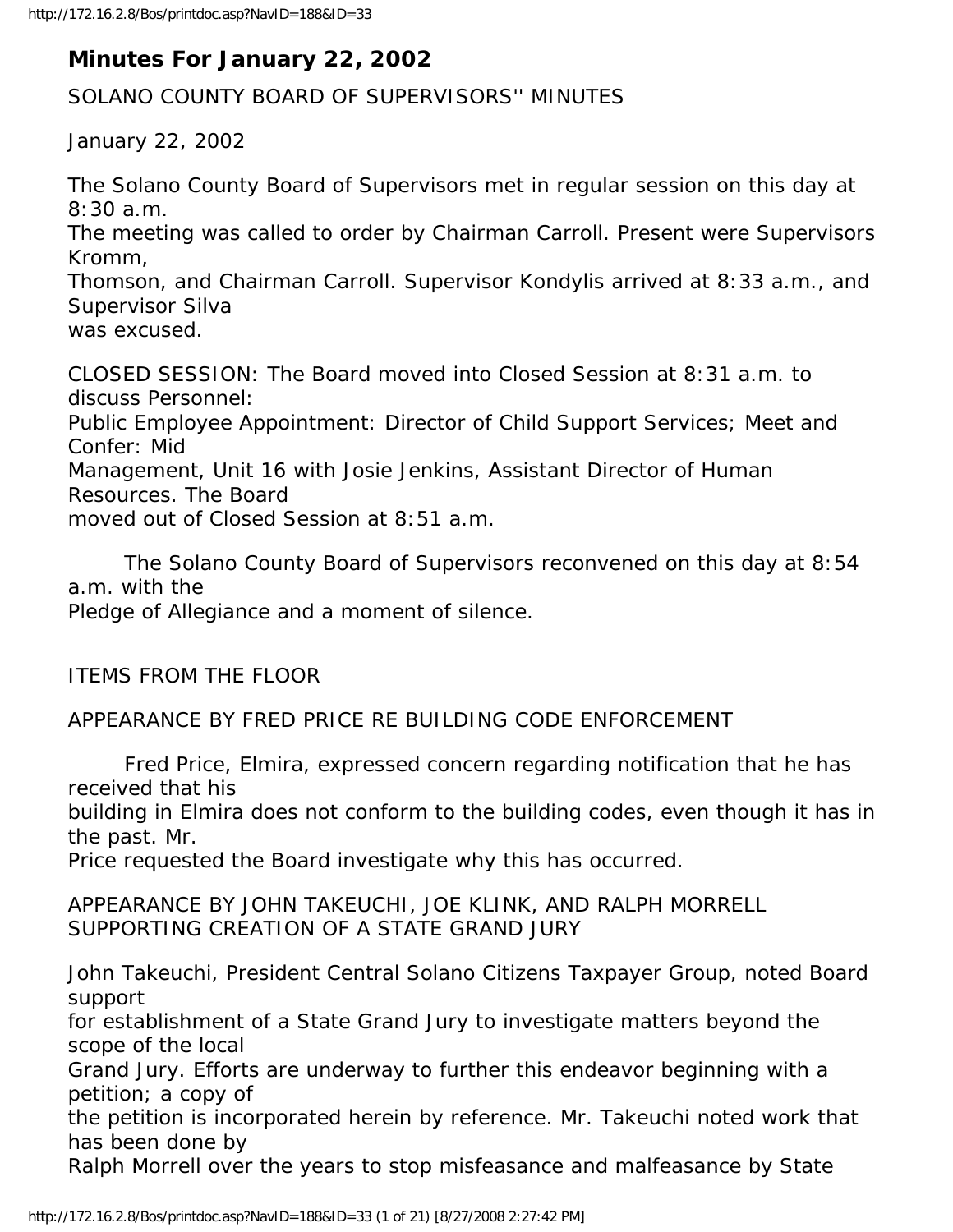## **Minutes For January 22, 2002**

SOLANO COUNTY BOARD OF SUPERVISORS'' MINUTES

January 22, 2002

The Solano County Board of Supervisors met in regular session on this day at 8:30 a.m. The meeting was called to order by Chairman Carroll. Present were Supervisors Kromm,

Thomson, and Chairman Carroll. Supervisor Kondylis arrived at 8:33 a.m., and Supervisor Silva

was excused.

CLOSED SESSION: The Board moved into Closed Session at 8:31 a.m. to discuss Personnel:

Public Employee Appointment: Director of Child Support Services; Meet and Confer: Mid

Management, Unit 16 with Josie Jenkins, Assistant Director of Human Resources. The Board

moved out of Closed Session at 8:51 a.m.

 The Solano County Board of Supervisors reconvened on this day at 8:54 a.m. with the Pledge of Allegiance and a moment of silence.

ITEMS FROM THE FLOOR

APPEARANCE BY FRED PRICE RE BUILDING CODE ENFORCEMENT

 Fred Price, Elmira, expressed concern regarding notification that he has received that his

building in Elmira does not conform to the building codes, even though it has in the past. Mr.

Price requested the Board investigate why this has occurred.

APPEARANCE BY JOHN TAKEUCHI, JOE KLINK, AND RALPH MORRELL SUPPORTING CREATION OF A STATE GRAND JURY

John Takeuchi, President Central Solano Citizens Taxpayer Group, noted Board support

for establishment of a State Grand Jury to investigate matters beyond the scope of the local

Grand Jury. Efforts are underway to further this endeavor beginning with a petition; a copy of

the petition is incorporated herein by reference. Mr. Takeuchi noted work that has been done by

Ralph Morrell over the years to stop misfeasance and malfeasance by State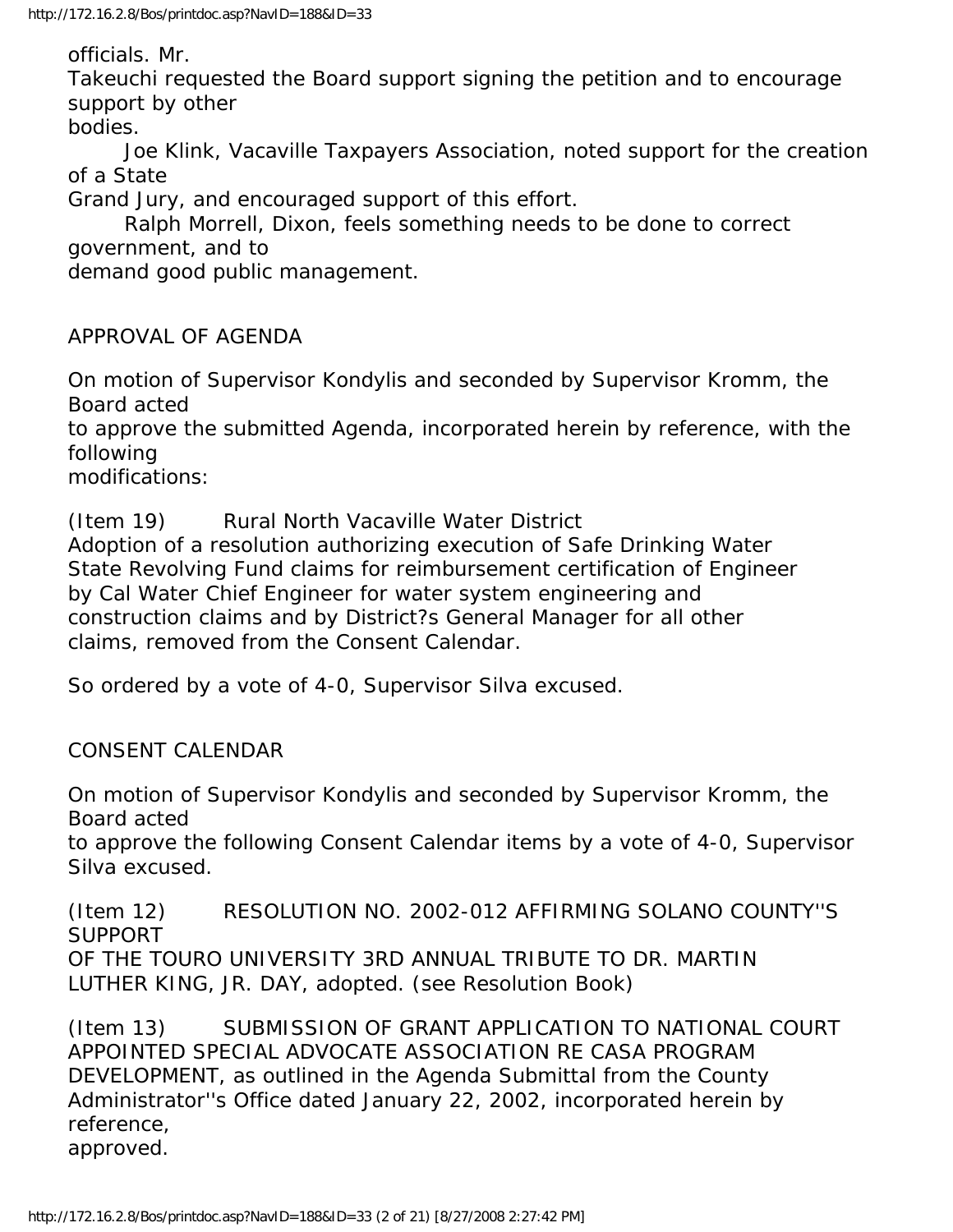officials. Mr.

Takeuchi requested the Board support signing the petition and to encourage support by other

bodies.

 Joe Klink, Vacaville Taxpayers Association, noted support for the creation of a State

Grand Jury, and encouraged support of this effort.

 Ralph Morrell, Dixon, feels something needs to be done to correct government, and to

demand good public management.

APPROVAL OF AGENDA

On motion of Supervisor Kondylis and seconded by Supervisor Kromm, the Board acted

to approve the submitted Agenda, incorporated herein by reference, with the following

modifications:

(Item 19) Rural North Vacaville Water District

Adoption of a resolution authorizing execution of Safe Drinking Water State Revolving Fund claims for reimbursement certification of Engineer by Cal Water Chief Engineer for water system engineering and construction claims and by District?s General Manager for all other claims, removed from the Consent Calendar.

So ordered by a vote of 4-0, Supervisor Silva excused.

CONSENT CALENDAR

On motion of Supervisor Kondylis and seconded by Supervisor Kromm, the Board acted

to approve the following Consent Calendar items by a vote of 4-0, Supervisor Silva excused.

(Item 12) RESOLUTION NO. 2002-012 AFFIRMING SOLANO COUNTY''S SUPPORT OF THE TOURO UNIVERSITY 3RD ANNUAL TRIBUTE TO DR. MARTIN LUTHER KING, JR. DAY, adopted. (see Resolution Book)

(Item 13) SUBMISSION OF GRANT APPLICATION TO NATIONAL COURT APPOINTED SPECIAL ADVOCATE ASSOCIATION RE CASA PROGRAM DEVELOPMENT, as outlined in the Agenda Submittal from the County Administrator''s Office dated January 22, 2002, incorporated herein by reference, approved.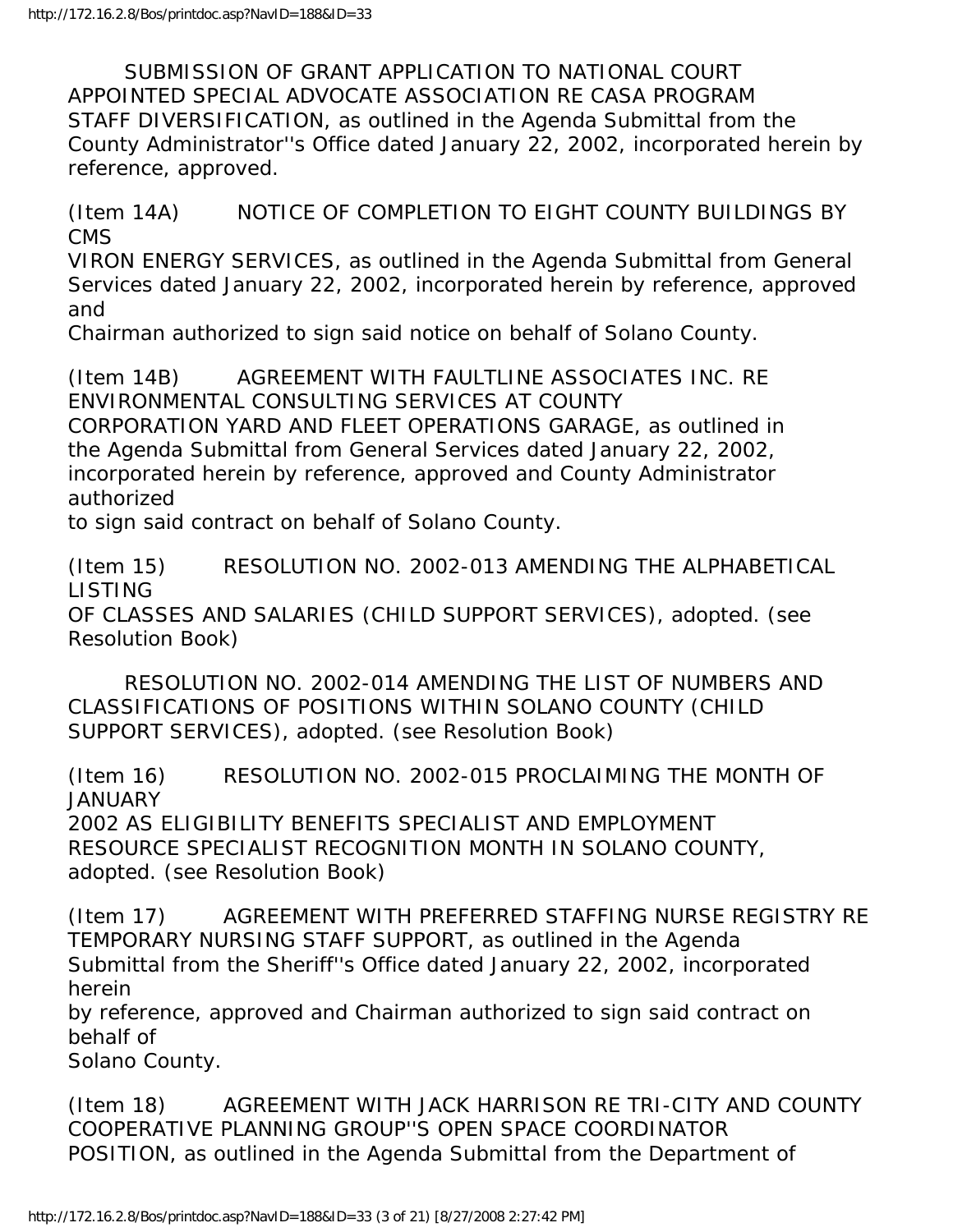SUBMISSION OF GRANT APPLICATION TO NATIONAL COURT APPOINTED SPECIAL ADVOCATE ASSOCIATION RE CASA PROGRAM STAFF DIVERSIFICATION, as outlined in the Agenda Submittal from the County Administrator''s Office dated January 22, 2002, incorporated herein by reference, approved.

(Item 14A) NOTICE OF COMPLETION TO EIGHT COUNTY BUILDINGS BY CMS

VIRON ENERGY SERVICES, as outlined in the Agenda Submittal from General Services dated January 22, 2002, incorporated herein by reference, approved and

Chairman authorized to sign said notice on behalf of Solano County.

(Item 14B) AGREEMENT WITH FAULTLINE ASSOCIATES INC. RE ENVIRONMENTAL CONSULTING SERVICES AT COUNTY

CORPORATION YARD AND FLEET OPERATIONS GARAGE, as outlined in the Agenda Submittal from General Services dated January 22, 2002, incorporated herein by reference, approved and County Administrator authorized

to sign said contract on behalf of Solano County.

(Item 15) RESOLUTION NO. 2002-013 AMENDING THE ALPHABETICAL LISTING OF CLASSES AND SALARIES (CHILD SUPPORT SERVICES), adopted. (see Resolution Book)

 RESOLUTION NO. 2002-014 AMENDING THE LIST OF NUMBERS AND CLASSIFICATIONS OF POSITIONS WITHIN SOLANO COUNTY (CHILD SUPPORT SERVICES), adopted. (see Resolution Book)

(Item 16) RESOLUTION NO. 2002-015 PROCLAIMING THE MONTH OF **JANUARY** 2002 AS ELIGIBILITY BENEFITS SPECIALIST AND EMPLOYMENT RESOURCE SPECIALIST RECOGNITION MONTH IN SOLANO COUNTY, adopted. (see Resolution Book)

(Item 17) AGREEMENT WITH PREFERRED STAFFING NURSE REGISTRY RE TEMPORARY NURSING STAFF SUPPORT, as outlined in the Agenda Submittal from the Sheriff''s Office dated January 22, 2002, incorporated herein

by reference, approved and Chairman authorized to sign said contract on behalf of

Solano County.

(Item 18) AGREEMENT WITH JACK HARRISON RE TRI-CITY AND COUNTY COOPERATIVE PLANNING GROUP''S OPEN SPACE COORDINATOR POSITION, as outlined in the Agenda Submittal from the Department of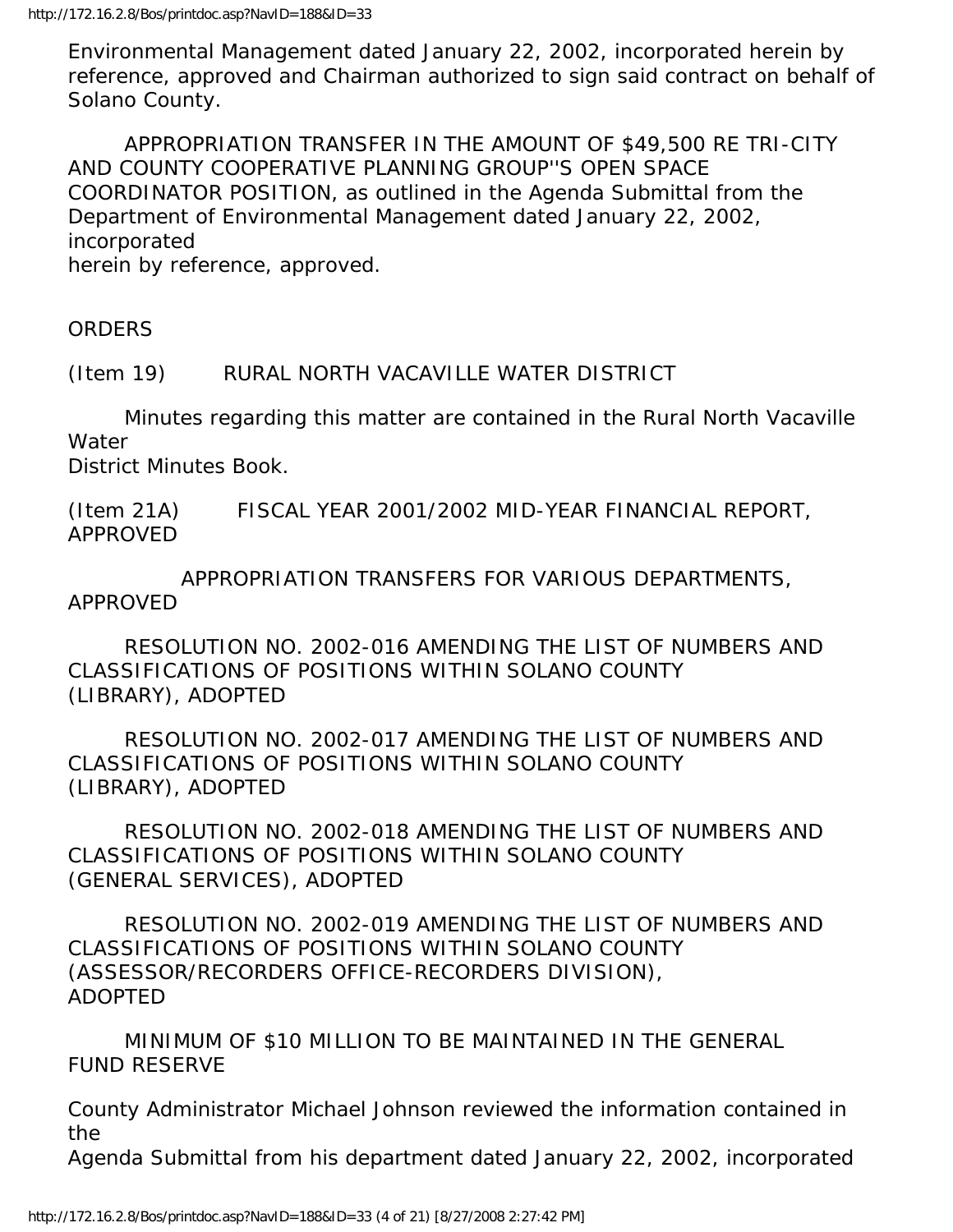Environmental Management dated January 22, 2002, incorporated herein by reference, approved and Chairman authorized to sign said contract on behalf of Solano County.

 APPROPRIATION TRANSFER IN THE AMOUNT OF \$49,500 RE TRI-CITY AND COUNTY COOPERATIVE PLANNING GROUP''S OPEN SPACE COORDINATOR POSITION, as outlined in the Agenda Submittal from the Department of Environmental Management dated January 22, 2002, incorporated herein by reference, approved.

ORDERS

(Item 19) RURAL NORTH VACAVILLE WATER DISTRICT

 Minutes regarding this matter are contained in the Rural North Vacaville **Water** 

District Minutes Book.

(Item 21A) FISCAL YEAR 2001/2002 MID-YEAR FINANCIAL REPORT, APPROVED

 APPROPRIATION TRANSFERS FOR VARIOUS DEPARTMENTS, APPROVED

 RESOLUTION NO. 2002-016 AMENDING THE LIST OF NUMBERS AND CLASSIFICATIONS OF POSITIONS WITHIN SOLANO COUNTY (LIBRARY), ADOPTED

 RESOLUTION NO. 2002-017 AMENDING THE LIST OF NUMBERS AND CLASSIFICATIONS OF POSITIONS WITHIN SOLANO COUNTY (LIBRARY), ADOPTED

 RESOLUTION NO. 2002-018 AMENDING THE LIST OF NUMBERS AND CLASSIFICATIONS OF POSITIONS WITHIN SOLANO COUNTY (GENERAL SERVICES), ADOPTED

 RESOLUTION NO. 2002-019 AMENDING THE LIST OF NUMBERS AND CLASSIFICATIONS OF POSITIONS WITHIN SOLANO COUNTY (ASSESSOR/RECORDERS OFFICE-RECORDERS DIVISION), ADOPTED

 MINIMUM OF \$10 MILLION TO BE MAINTAINED IN THE GENERAL FUND RESERVE

County Administrator Michael Johnson reviewed the information contained in the

Agenda Submittal from his department dated January 22, 2002, incorporated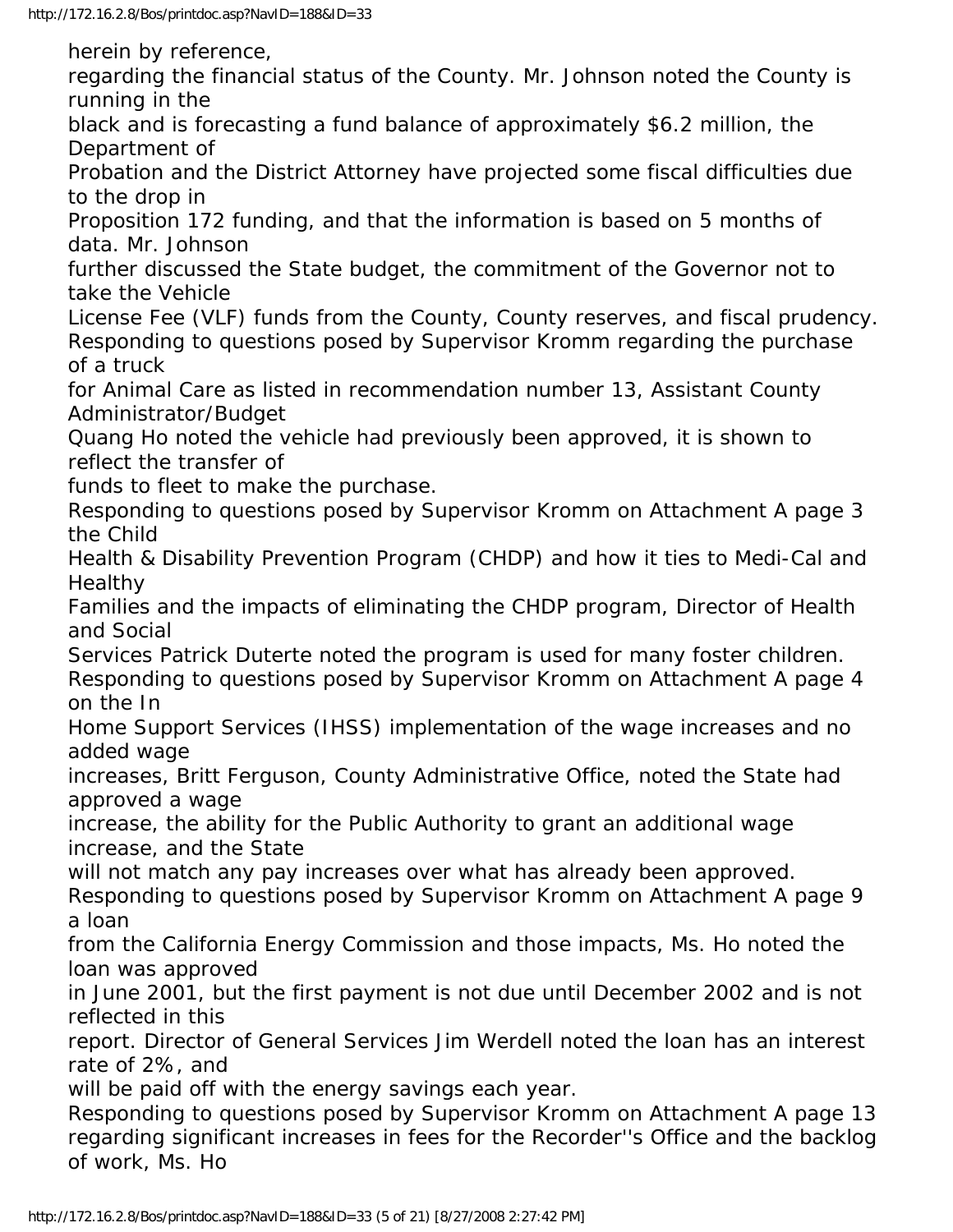herein by reference,

regarding the financial status of the County. Mr. Johnson noted the County is running in the

black and is forecasting a fund balance of approximately \$6.2 million, the Department of

Probation and the District Attorney have projected some fiscal difficulties due to the drop in

Proposition 172 funding, and that the information is based on 5 months of data. Mr. Johnson

further discussed the State budget, the commitment of the Governor not to take the Vehicle

License Fee (VLF) funds from the County, County reserves, and fiscal prudency. Responding to questions posed by Supervisor Kromm regarding the purchase of a truck

for Animal Care as listed in recommendation number 13, Assistant County Administrator/Budget

Quang Ho noted the vehicle had previously been approved, it is shown to reflect the transfer of

funds to fleet to make the purchase.

Responding to questions posed by Supervisor Kromm on Attachment A page 3 the Child

Health & Disability Prevention Program (CHDP) and how it ties to Medi-Cal and Healthy

Families and the impacts of eliminating the CHDP program, Director of Health and Social

Services Patrick Duterte noted the program is used for many foster children. Responding to questions posed by Supervisor Kromm on Attachment A page 4 on the In

Home Support Services (IHSS) implementation of the wage increases and no added wage

increases, Britt Ferguson, County Administrative Office, noted the State had approved a wage

increase, the ability for the Public Authority to grant an additional wage increase, and the State

will not match any pay increases over what has already been approved.

Responding to questions posed by Supervisor Kromm on Attachment A page 9 a loan

from the California Energy Commission and those impacts, Ms. Ho noted the loan was approved

in June 2001, but the first payment is not due until December 2002 and is not reflected in this

report. Director of General Services Jim Werdell noted the loan has an interest rate of 2%, and

will be paid off with the energy savings each year.

Responding to questions posed by Supervisor Kromm on Attachment A page 13 regarding significant increases in fees for the Recorder''s Office and the backlog of work, Ms. Ho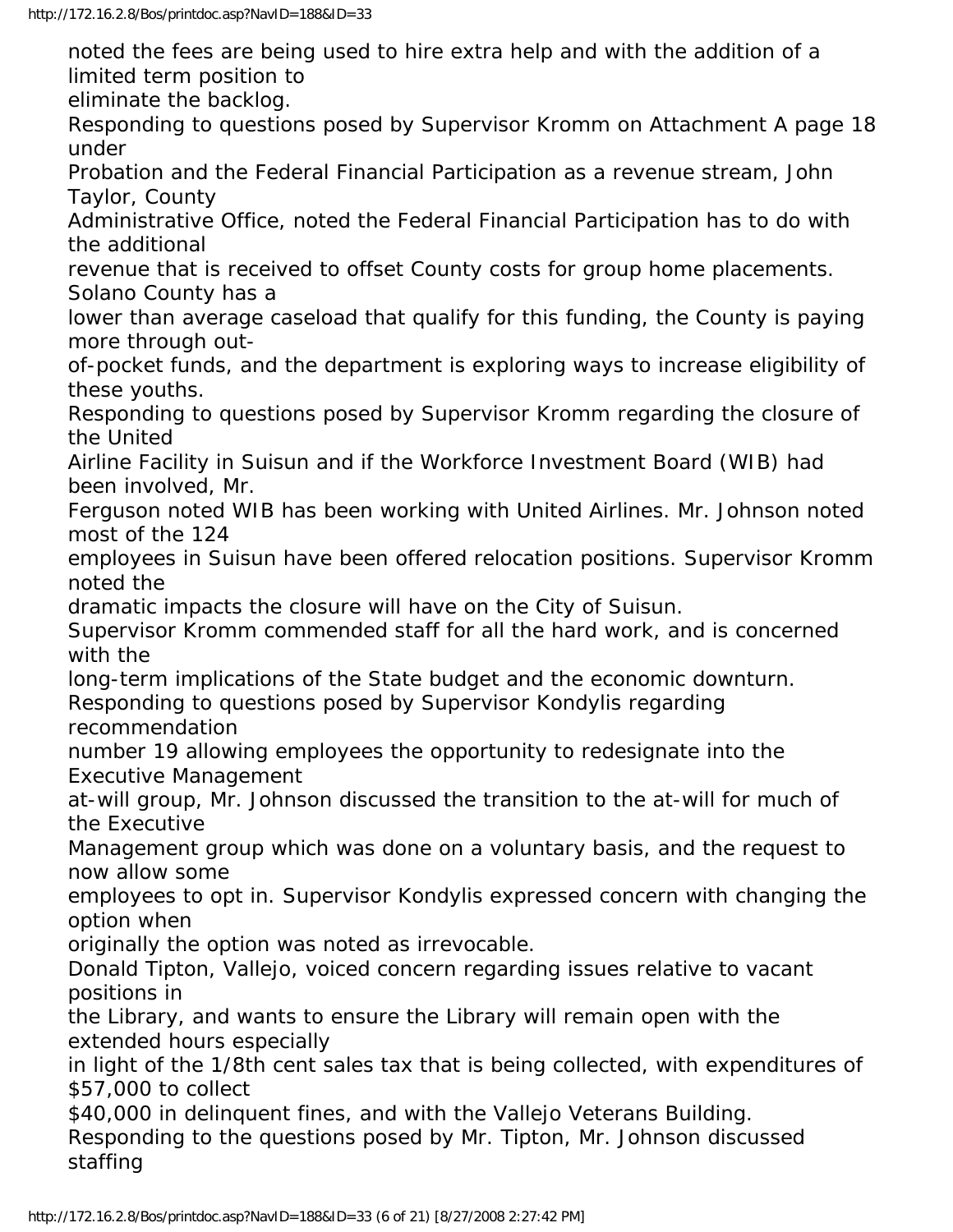noted the fees are being used to hire extra help and with the addition of a limited term position to

eliminate the backlog.

Responding to questions posed by Supervisor Kromm on Attachment A page 18 under

Probation and the Federal Financial Participation as a revenue stream, John Taylor, County

Administrative Office, noted the Federal Financial Participation has to do with the additional

revenue that is received to offset County costs for group home placements. Solano County has a

lower than average caseload that qualify for this funding, the County is paying more through out-

of-pocket funds, and the department is exploring ways to increase eligibility of these youths.

Responding to questions posed by Supervisor Kromm regarding the closure of the United

Airline Facility in Suisun and if the Workforce Investment Board (WIB) had been involved, Mr.

Ferguson noted WIB has been working with United Airlines. Mr. Johnson noted most of the 124

employees in Suisun have been offered relocation positions. Supervisor Kromm noted the

dramatic impacts the closure will have on the City of Suisun.

Supervisor Kromm commended staff for all the hard work, and is concerned with the

long-term implications of the State budget and the economic downturn.

Responding to questions posed by Supervisor Kondylis regarding recommendation

number 19 allowing employees the opportunity to redesignate into the Executive Management

at-will group, Mr. Johnson discussed the transition to the at-will for much of the Executive

Management group which was done on a voluntary basis, and the request to now allow some

employees to opt in. Supervisor Kondylis expressed concern with changing the option when

originally the option was noted as irrevocable.

Donald Tipton, Vallejo, voiced concern regarding issues relative to vacant positions in

the Library, and wants to ensure the Library will remain open with the extended hours especially

in light of the 1/8th cent sales tax that is being collected, with expenditures of \$57,000 to collect

\$40,000 in delinguent fines, and with the Vallejo Veterans Building.

Responding to the questions posed by Mr. Tipton, Mr. Johnson discussed staffing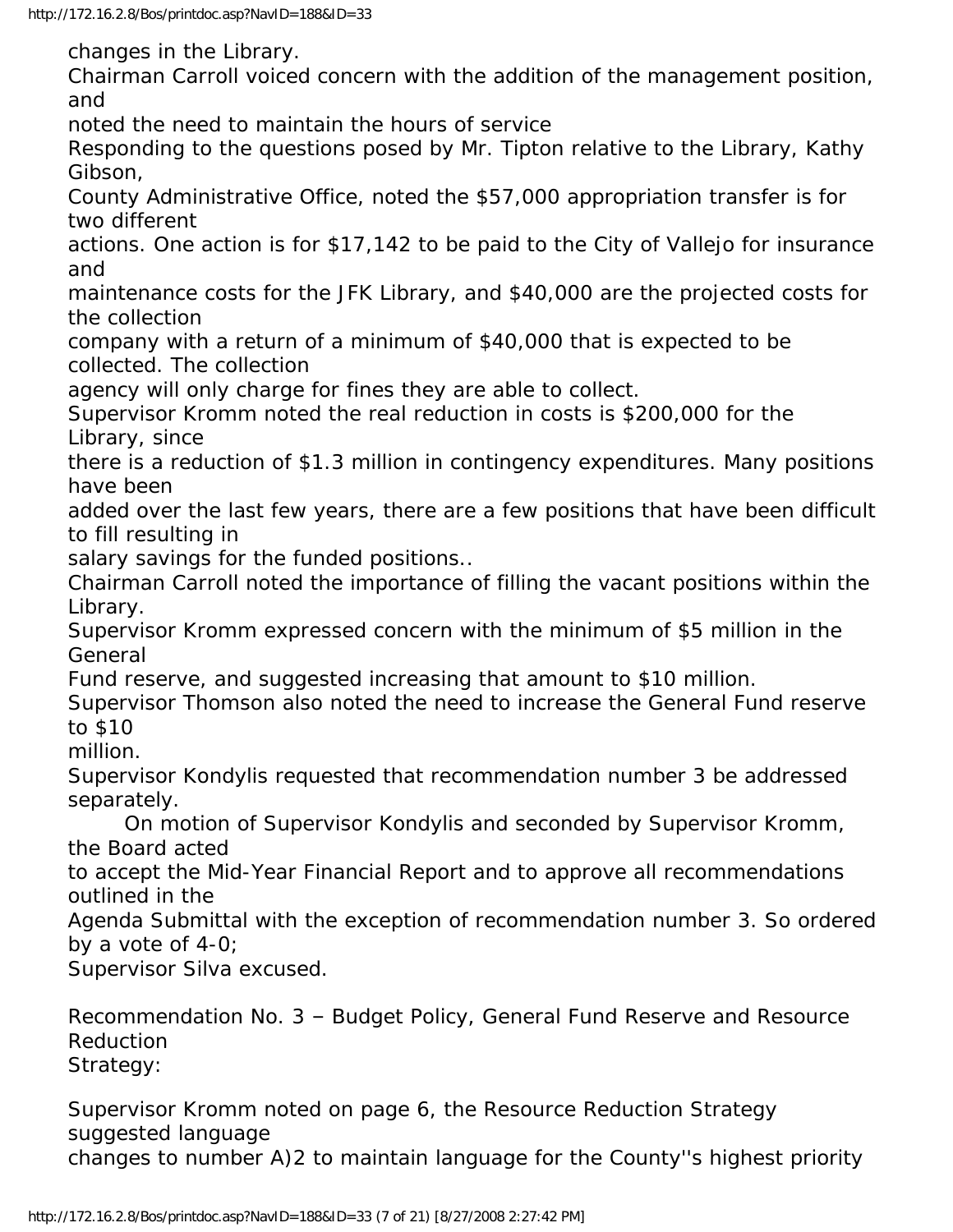changes in the Library.

Chairman Carroll voiced concern with the addition of the management position, and

noted the need to maintain the hours of service

Responding to the questions posed by Mr. Tipton relative to the Library, Kathy Gibson,

County Administrative Office, noted the \$57,000 appropriation transfer is for two different

actions. One action is for \$17,142 to be paid to the City of Vallejo for insurance and

maintenance costs for the JFK Library, and \$40,000 are the projected costs for the collection

company with a return of a minimum of \$40,000 that is expected to be collected. The collection

agency will only charge for fines they are able to collect.

Supervisor Kromm noted the real reduction in costs is \$200,000 for the Library, since

there is a reduction of \$1.3 million in contingency expenditures. Many positions have been

added over the last few years, there are a few positions that have been difficult to fill resulting in

salary savings for the funded positions..

Chairman Carroll noted the importance of filling the vacant positions within the Library.

Supervisor Kromm expressed concern with the minimum of \$5 million in the General

Fund reserve, and suggested increasing that amount to \$10 million.

Supervisor Thomson also noted the need to increase the General Fund reserve to \$10

million.

Supervisor Kondylis requested that recommendation number 3 be addressed separately.

 On motion of Supervisor Kondylis and seconded by Supervisor Kromm, the Board acted

to accept the Mid-Year Financial Report and to approve all recommendations outlined in the

Agenda Submittal with the exception of recommendation number 3. So ordered by a vote of 4-0;

Supervisor Silva excused.

Recommendation No. 3 – Budget Policy, General Fund Reserve and Resource Reduction Strategy:

Supervisor Kromm noted on page 6, the Resource Reduction Strategy suggested language changes to number A)2 to maintain language for the County''s highest priority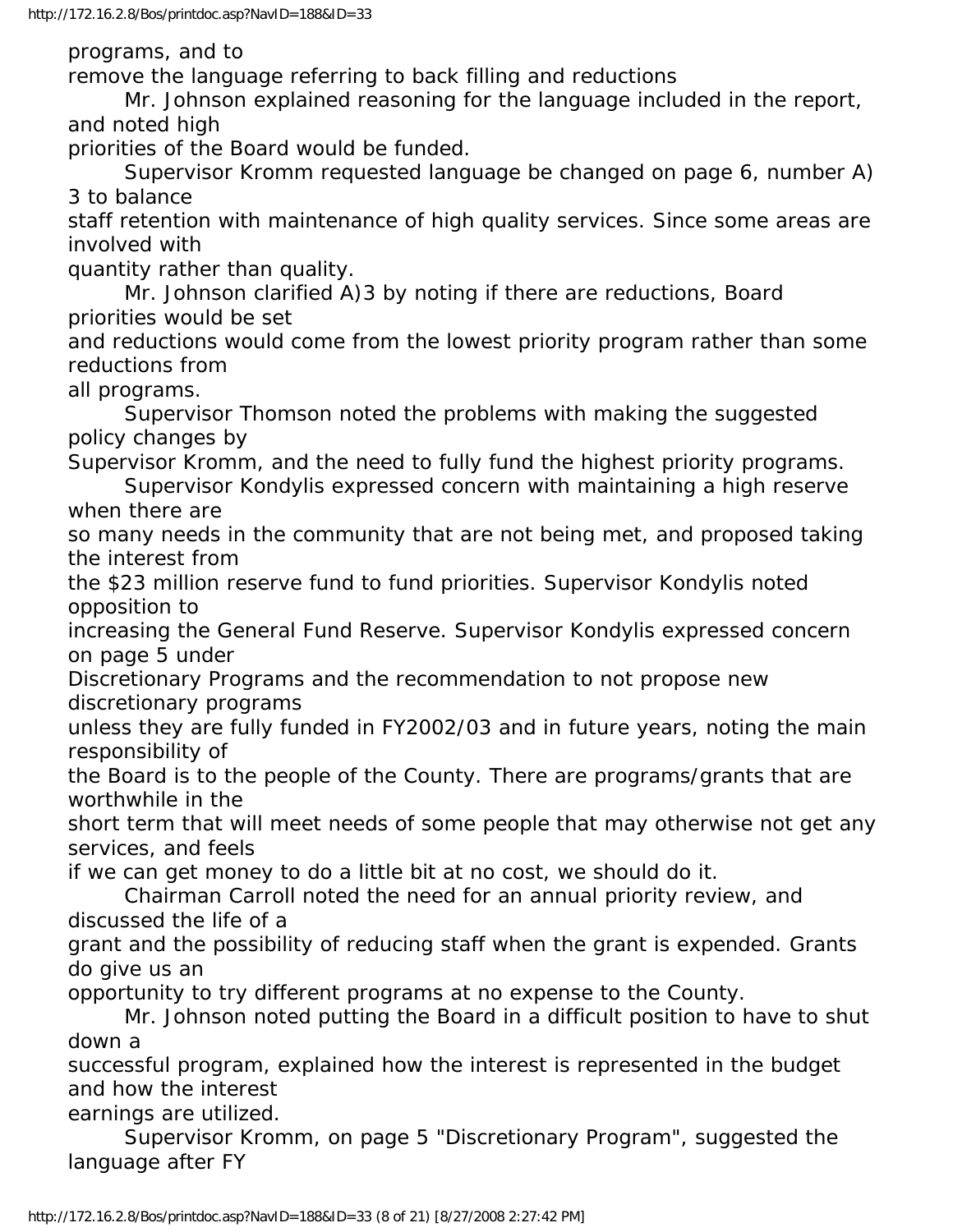programs, and to

remove the language referring to back filling and reductions

 Mr. Johnson explained reasoning for the language included in the report, and noted high

priorities of the Board would be funded.

 Supervisor Kromm requested language be changed on page 6, number A) 3 to balance

staff retention with maintenance of high quality services. Since some areas are involved with

quantity rather than quality.

 Mr. Johnson clarified A)3 by noting if there are reductions, Board priorities would be set

and reductions would come from the lowest priority program rather than some reductions from

all programs.

 Supervisor Thomson noted the problems with making the suggested policy changes by

Supervisor Kromm, and the need to fully fund the highest priority programs.

 Supervisor Kondylis expressed concern with maintaining a high reserve when there are

so many needs in the community that are not being met, and proposed taking the interest from

the \$23 million reserve fund to fund priorities. Supervisor Kondylis noted opposition to

increasing the General Fund Reserve. Supervisor Kondylis expressed concern on page 5 under

Discretionary Programs and the recommendation to not propose new discretionary programs

unless they are fully funded in FY2002/03 and in future years, noting the main responsibility of

the Board is to the people of the County. There are programs/grants that are worthwhile in the

short term that will meet needs of some people that may otherwise not get any services, and feels

if we can get money to do a little bit at no cost, we should do it.

 Chairman Carroll noted the need for an annual priority review, and discussed the life of a

grant and the possibility of reducing staff when the grant is expended. Grants do give us an

opportunity to try different programs at no expense to the County.

 Mr. Johnson noted putting the Board in a difficult position to have to shut down a

successful program, explained how the interest is represented in the budget and how the interest

earnings are utilized.

 Supervisor Kromm, on page 5 "Discretionary Program", suggested the language after FY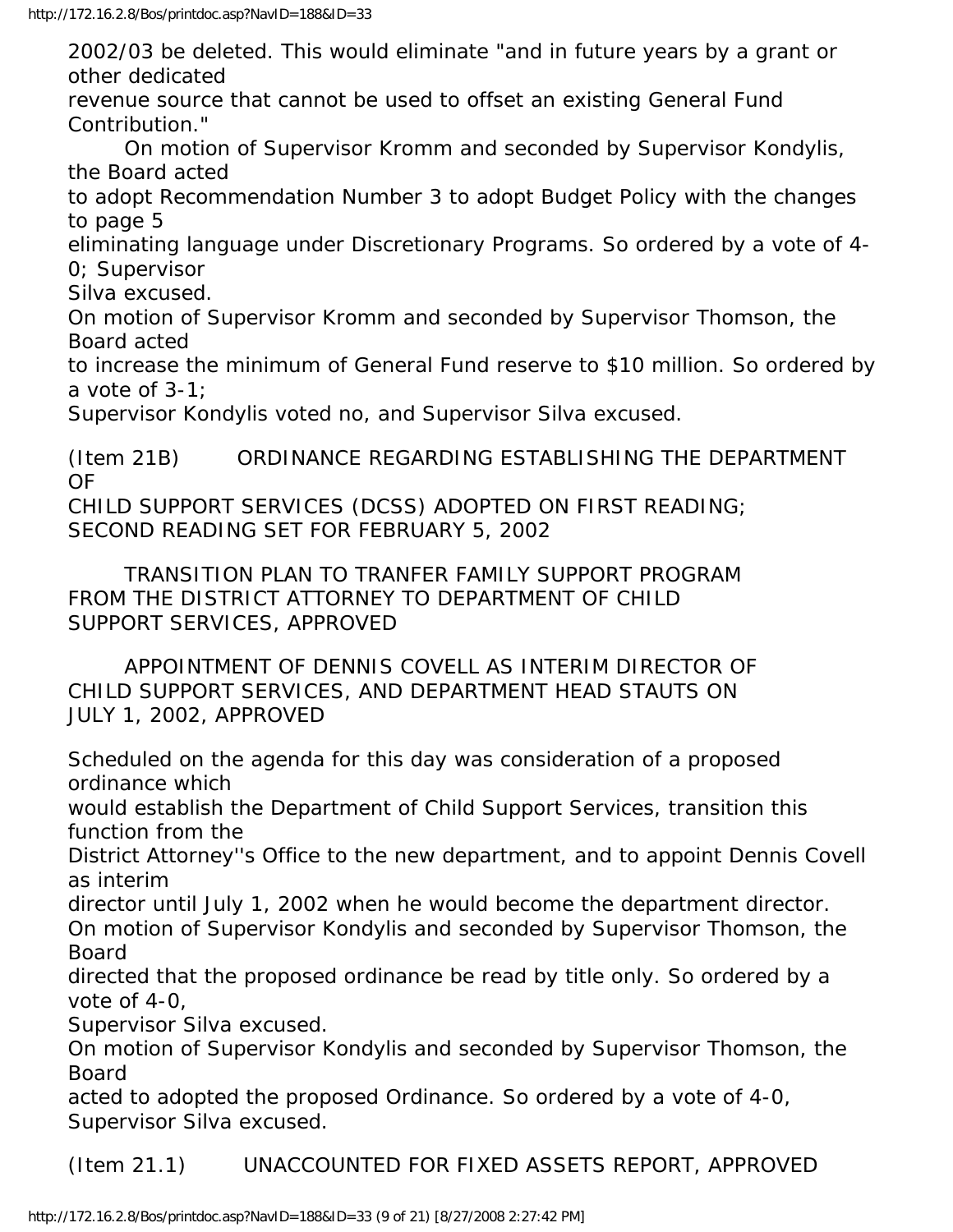2002/03 be deleted. This would eliminate "and in future years by a grant or other dedicated

revenue source that cannot be used to offset an existing General Fund Contribution."

 On motion of Supervisor Kromm and seconded by Supervisor Kondylis, the Board acted

to adopt Recommendation Number 3 to adopt Budget Policy with the changes to page 5

eliminating language under Discretionary Programs. So ordered by a vote of 4- 0; Supervisor

Silva excused.

On motion of Supervisor Kromm and seconded by Supervisor Thomson, the Board acted

to increase the minimum of General Fund reserve to \$10 million. So ordered by a vote of 3-1;

Supervisor Kondylis voted no, and Supervisor Silva excused.

(Item 21B) ORDINANCE REGARDING ESTABLISHING THE DEPARTMENT OF CHILD SUPPORT SERVICES (DCSS) ADOPTED ON FIRST READING;

SECOND READING SET FOR FEBRUARY 5, 2002

 TRANSITION PLAN TO TRANFER FAMILY SUPPORT PROGRAM FROM THE DISTRICT ATTORNEY TO DEPARTMENT OF CHILD SUPPORT SERVICES, APPROVED

 APPOINTMENT OF DENNIS COVELL AS INTERIM DIRECTOR OF CHILD SUPPORT SERVICES, AND DEPARTMENT HEAD STAUTS ON JULY 1, 2002, APPROVED

Scheduled on the agenda for this day was consideration of a proposed ordinance which

would establish the Department of Child Support Services, transition this function from the

District Attorney''s Office to the new department, and to appoint Dennis Covell as interim

director until July 1, 2002 when he would become the department director. On motion of Supervisor Kondylis and seconded by Supervisor Thomson, the Board

directed that the proposed ordinance be read by title only. So ordered by a vote of 4-0,

Supervisor Silva excused.

On motion of Supervisor Kondylis and seconded by Supervisor Thomson, the Board

acted to adopted the proposed Ordinance. So ordered by a vote of 4-0, Supervisor Silva excused.

(Item 21.1) UNACCOUNTED FOR FIXED ASSETS REPORT, APPROVED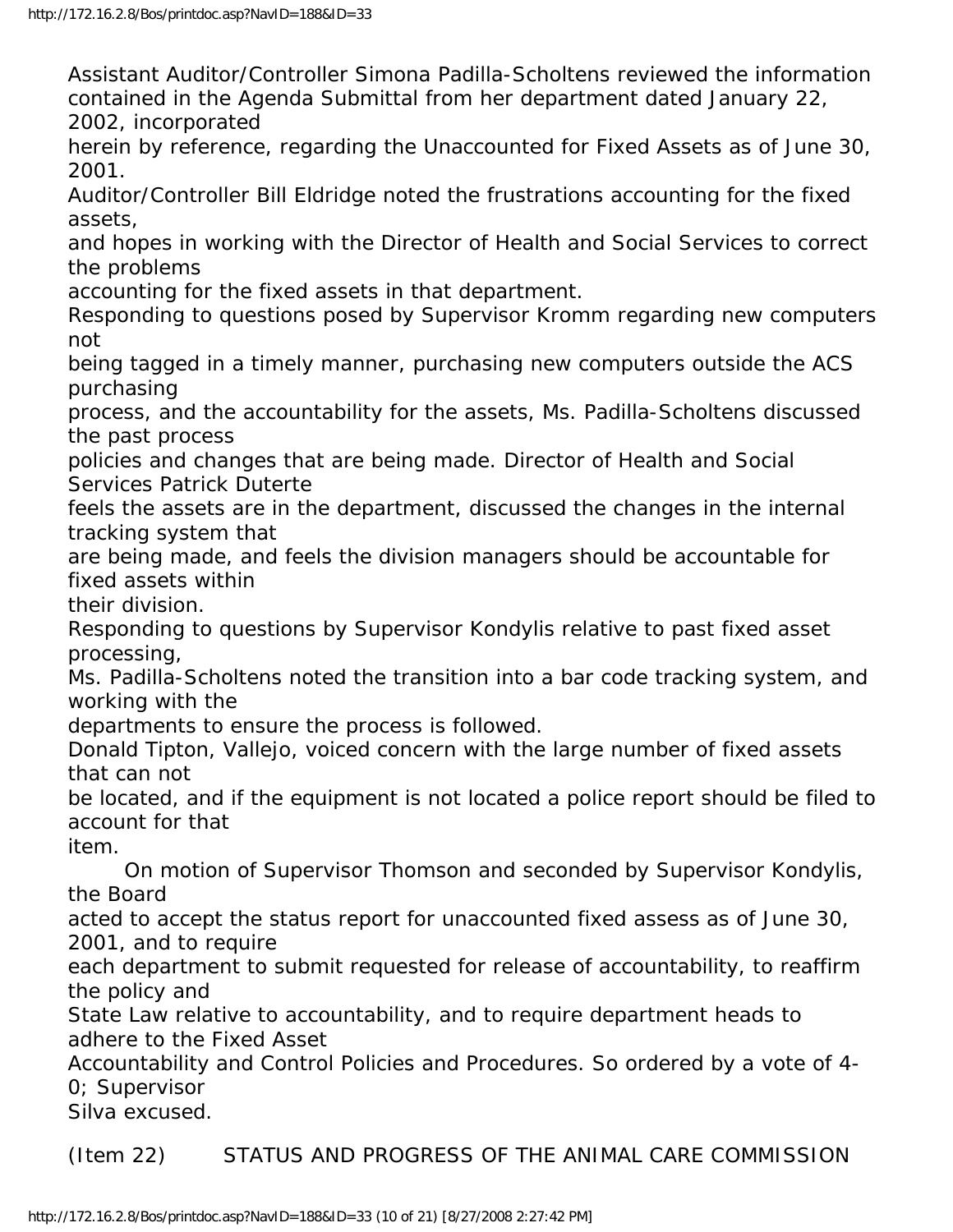Assistant Auditor/Controller Simona Padilla-Scholtens reviewed the information contained in the Agenda Submittal from her department dated January 22, 2002, incorporated

herein by reference, regarding the Unaccounted for Fixed Assets as of June 30, 2001.

Auditor/Controller Bill Eldridge noted the frustrations accounting for the fixed assets,

and hopes in working with the Director of Health and Social Services to correct the problems

accounting for the fixed assets in that department.

Responding to questions posed by Supervisor Kromm regarding new computers not

being tagged in a timely manner, purchasing new computers outside the ACS purchasing

process, and the accountability for the assets, Ms. Padilla-Scholtens discussed the past process

policies and changes that are being made. Director of Health and Social Services Patrick Duterte

feels the assets are in the department, discussed the changes in the internal tracking system that

are being made, and feels the division managers should be accountable for fixed assets within

their division.

Responding to questions by Supervisor Kondylis relative to past fixed asset processing,

Ms. Padilla-Scholtens noted the transition into a bar code tracking system, and working with the

departments to ensure the process is followed.

Donald Tipton, Vallejo, voiced concern with the large number of fixed assets that can not

be located, and if the equipment is not located a police report should be filed to account for that

item.

 On motion of Supervisor Thomson and seconded by Supervisor Kondylis, the Board

acted to accept the status report for unaccounted fixed assess as of June 30, 2001, and to require

each department to submit requested for release of accountability, to reaffirm the policy and

State Law relative to accountability, and to require department heads to adhere to the Fixed Asset

Accountability and Control Policies and Procedures. So ordered by a vote of 4- 0; Supervisor

Silva excused.

(Item 22) STATUS AND PROGRESS OF THE ANIMAL CARE COMMISSION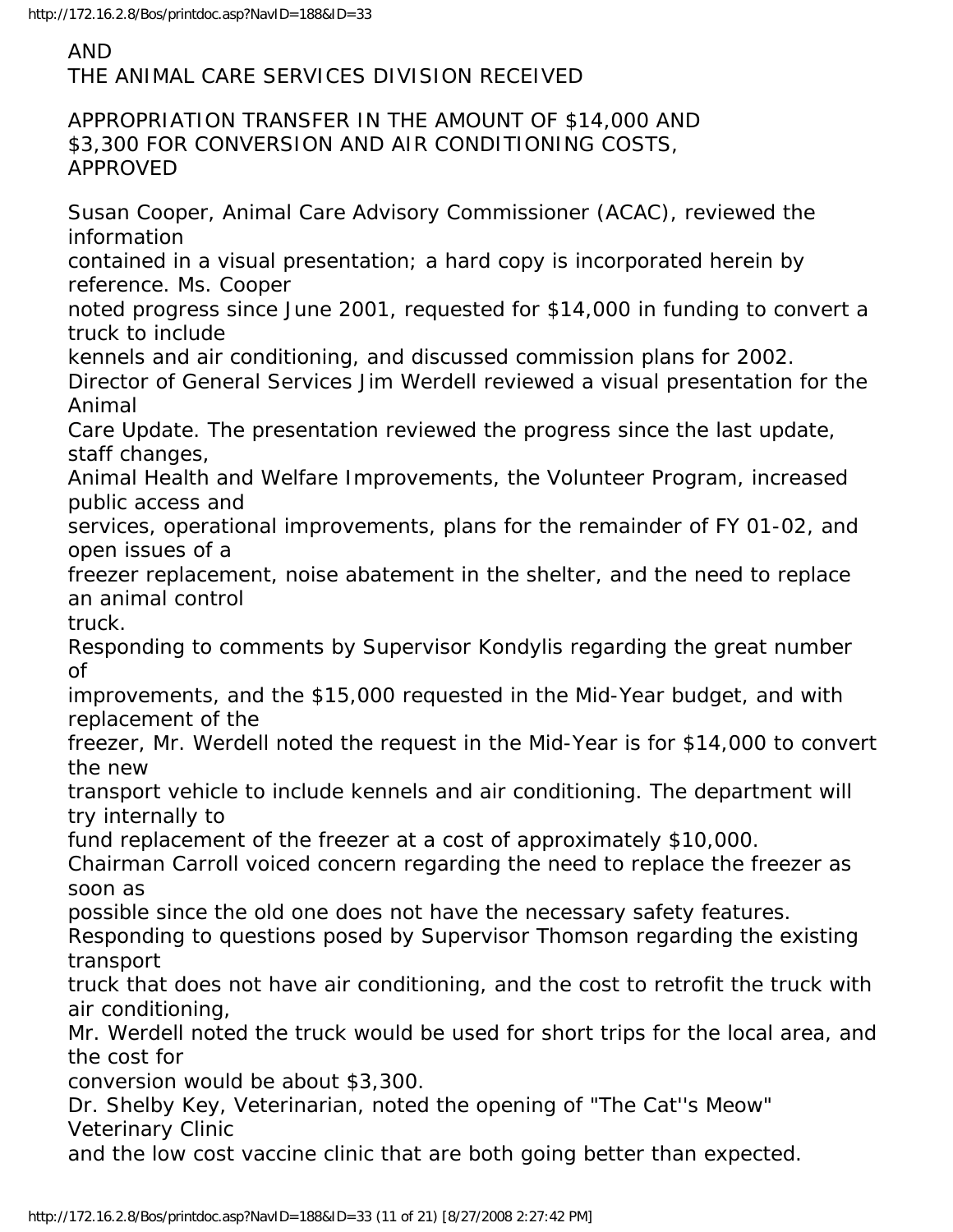## AND

THE ANIMAL CARE SERVICES DIVISION RECEIVED

## APPROPRIATION TRANSFER IN THE AMOUNT OF \$14,000 AND \$3,300 FOR CONVERSION AND AIR CONDITIONING COSTS, APPROVED

Susan Cooper, Animal Care Advisory Commissioner (ACAC), reviewed the information

contained in a visual presentation; a hard copy is incorporated herein by reference. Ms. Cooper

noted progress since June 2001, requested for \$14,000 in funding to convert a truck to include

kennels and air conditioning, and discussed commission plans for 2002.

Director of General Services Jim Werdell reviewed a visual presentation for the Animal

Care Update. The presentation reviewed the progress since the last update, staff changes,

Animal Health and Welfare Improvements, the Volunteer Program, increased public access and

services, operational improvements, plans for the remainder of FY 01-02, and open issues of a

freezer replacement, noise abatement in the shelter, and the need to replace an animal control truck.

Responding to comments by Supervisor Kondylis regarding the great number of

improvements, and the \$15,000 requested in the Mid-Year budget, and with replacement of the

freezer, Mr. Werdell noted the request in the Mid-Year is for \$14,000 to convert the new

transport vehicle to include kennels and air conditioning. The department will try internally to

fund replacement of the freezer at a cost of approximately \$10,000.

Chairman Carroll voiced concern regarding the need to replace the freezer as soon as

possible since the old one does not have the necessary safety features.

Responding to questions posed by Supervisor Thomson regarding the existing transport

truck that does not have air conditioning, and the cost to retrofit the truck with air conditioning,

Mr. Werdell noted the truck would be used for short trips for the local area, and the cost for

conversion would be about \$3,300.

Dr. Shelby Key, Veterinarian, noted the opening of "The Cat''s Meow" Veterinary Clinic

and the low cost vaccine clinic that are both going better than expected.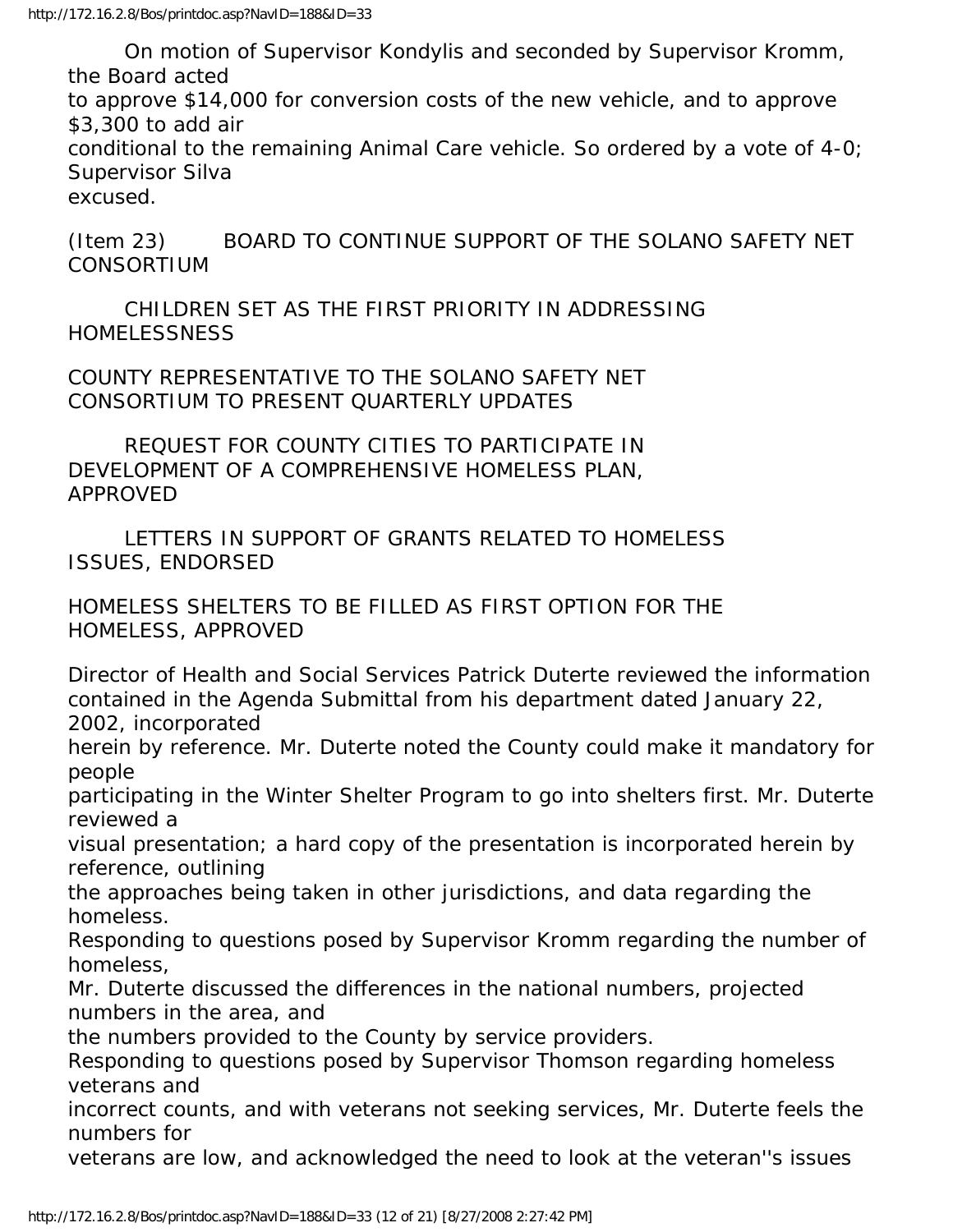On motion of Supervisor Kondylis and seconded by Supervisor Kromm, the Board acted

to approve \$14,000 for conversion costs of the new vehicle, and to approve \$3,300 to add air

conditional to the remaining Animal Care vehicle. So ordered by a vote of 4-0; Supervisor Silva

excused.

(Item 23) BOARD TO CONTINUE SUPPORT OF THE SOLANO SAFETY NET CONSORTIUM

 CHILDREN SET AS THE FIRST PRIORITY IN ADDRESSING **HOMELESSNESS** 

COUNTY REPRESENTATIVE TO THE SOLANO SAFETY NET CONSORTIUM TO PRESENT QUARTERLY UPDATES

 REQUEST FOR COUNTY CITIES TO PARTICIPATE IN DEVELOPMENT OF A COMPREHENSIVE HOMELESS PLAN, APPROVED

 LETTERS IN SUPPORT OF GRANTS RELATED TO HOMELESS ISSUES, ENDORSED

HOMELESS SHELTERS TO BE FILLED AS FIRST OPTION FOR THE HOMELESS, APPROVED

Director of Health and Social Services Patrick Duterte reviewed the information contained in the Agenda Submittal from his department dated January 22, 2002, incorporated

herein by reference. Mr. Duterte noted the County could make it mandatory for people

participating in the Winter Shelter Program to go into shelters first. Mr. Duterte reviewed a

visual presentation; a hard copy of the presentation is incorporated herein by reference, outlining

the approaches being taken in other jurisdictions, and data regarding the homeless.

Responding to questions posed by Supervisor Kromm regarding the number of homeless,

Mr. Duterte discussed the differences in the national numbers, projected numbers in the area, and

the numbers provided to the County by service providers.

Responding to questions posed by Supervisor Thomson regarding homeless veterans and

incorrect counts, and with veterans not seeking services, Mr. Duterte feels the numbers for

veterans are low, and acknowledged the need to look at the veteran''s issues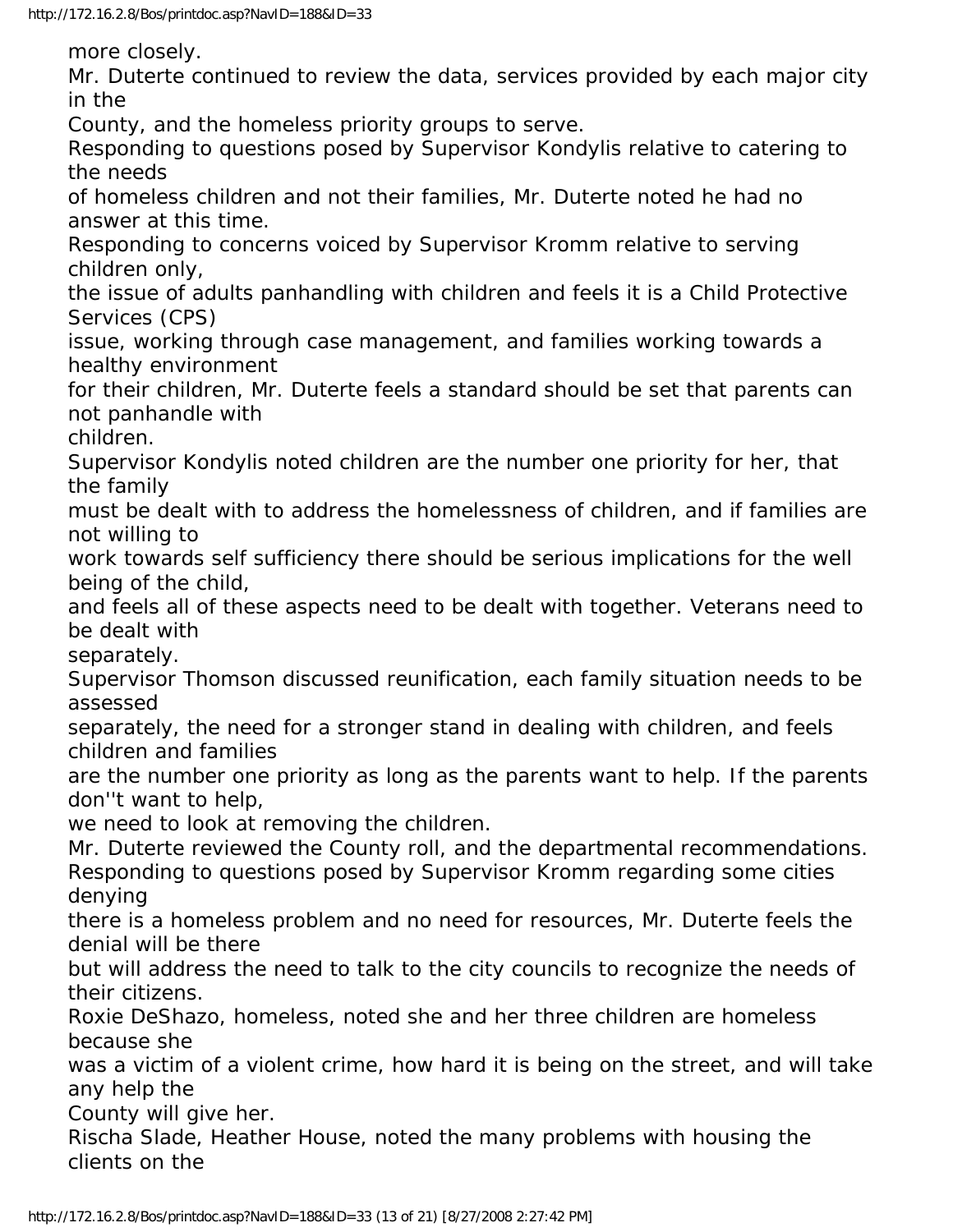more closely.

Mr. Duterte continued to review the data, services provided by each major city in the

County, and the homeless priority groups to serve.

Responding to questions posed by Supervisor Kondylis relative to catering to the needs

of homeless children and not their families, Mr. Duterte noted he had no answer at this time.

Responding to concerns voiced by Supervisor Kromm relative to serving children only,

the issue of adults panhandling with children and feels it is a Child Protective Services (CPS)

issue, working through case management, and families working towards a healthy environment

for their children, Mr. Duterte feels a standard should be set that parents can not panhandle with

children.

Supervisor Kondylis noted children are the number one priority for her, that the family

must be dealt with to address the homelessness of children, and if families are not willing to

work towards self sufficiency there should be serious implications for the well being of the child,

and feels all of these aspects need to be dealt with together. Veterans need to be dealt with

separately.

Supervisor Thomson discussed reunification, each family situation needs to be assessed

separately, the need for a stronger stand in dealing with children, and feels children and families

are the number one priority as long as the parents want to help. If the parents don''t want to help,

we need to look at removing the children.

Mr. Duterte reviewed the County roll, and the departmental recommendations. Responding to questions posed by Supervisor Kromm regarding some cities denying

there is a homeless problem and no need for resources, Mr. Duterte feels the denial will be there

but will address the need to talk to the city councils to recognize the needs of their citizens.

Roxie DeShazo, homeless, noted she and her three children are homeless because she

was a victim of a violent crime, how hard it is being on the street, and will take any help the

County will give her.

Rischa Slade, Heather House, noted the many problems with housing the clients on the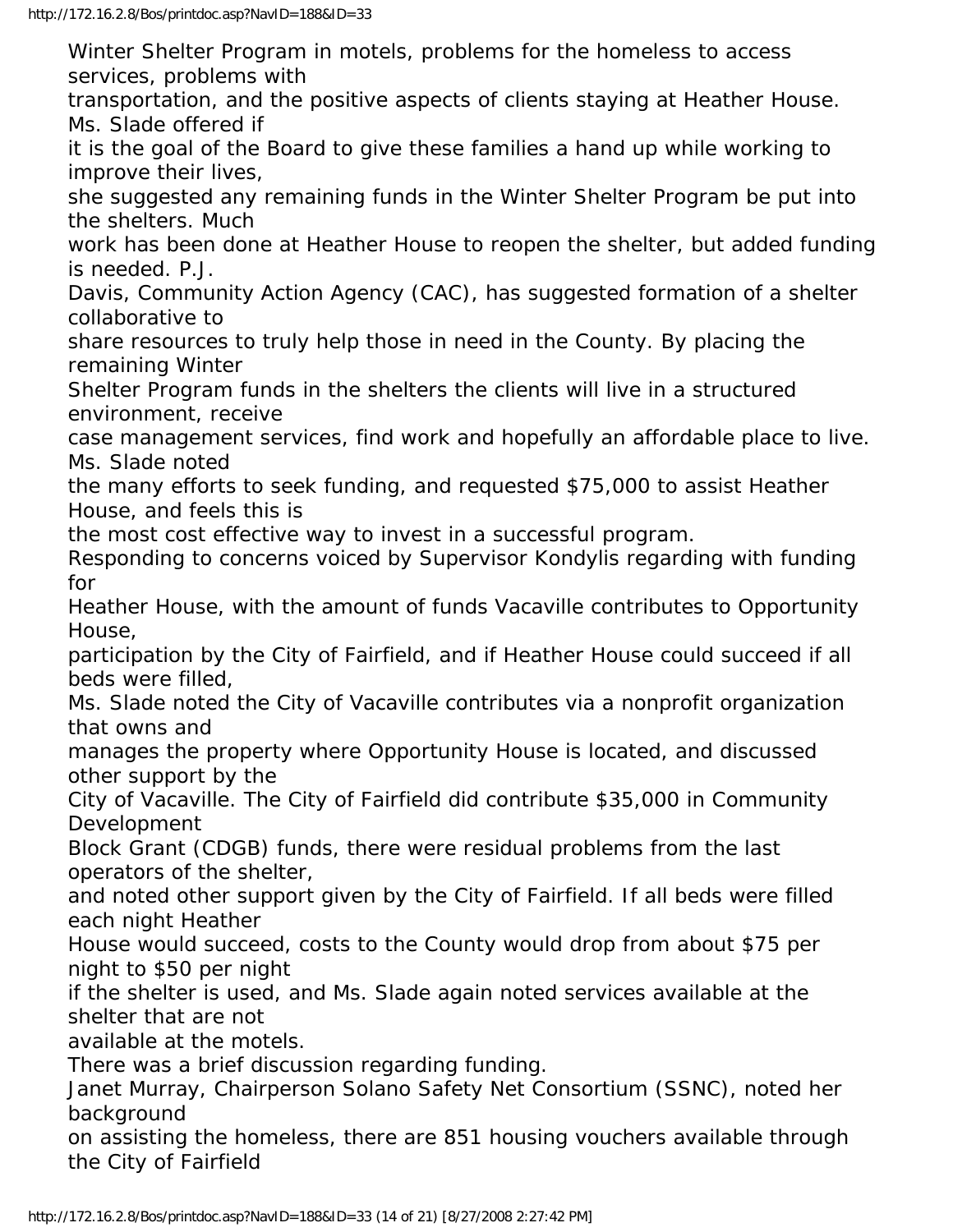Winter Shelter Program in motels, problems for the homeless to access services, problems with

transportation, and the positive aspects of clients staying at Heather House. Ms. Slade offered if

it is the goal of the Board to give these families a hand up while working to improve their lives,

she suggested any remaining funds in the Winter Shelter Program be put into the shelters. Much

work has been done at Heather House to reopen the shelter, but added funding is needed. P.J.

Davis, Community Action Agency (CAC), has suggested formation of a shelter collaborative to

share resources to truly help those in need in the County. By placing the remaining Winter

Shelter Program funds in the shelters the clients will live in a structured environment, receive

case management services, find work and hopefully an affordable place to live. Ms. Slade noted

the many efforts to seek funding, and requested \$75,000 to assist Heather House, and feels this is

the most cost effective way to invest in a successful program.

Responding to concerns voiced by Supervisor Kondylis regarding with funding for

Heather House, with the amount of funds Vacaville contributes to Opportunity House,

participation by the City of Fairfield, and if Heather House could succeed if all beds were filled,

Ms. Slade noted the City of Vacaville contributes via a nonprofit organization that owns and

manages the property where Opportunity House is located, and discussed other support by the

City of Vacaville. The City of Fairfield did contribute \$35,000 in Community Development

Block Grant (CDGB) funds, there were residual problems from the last operators of the shelter,

and noted other support given by the City of Fairfield. If all beds were filled each night Heather

House would succeed, costs to the County would drop from about \$75 per night to \$50 per night

if the shelter is used, and Ms. Slade again noted services available at the shelter that are not

available at the motels.

There was a brief discussion regarding funding.

Janet Murray, Chairperson Solano Safety Net Consortium (SSNC), noted her background

on assisting the homeless, there are 851 housing vouchers available through the City of Fairfield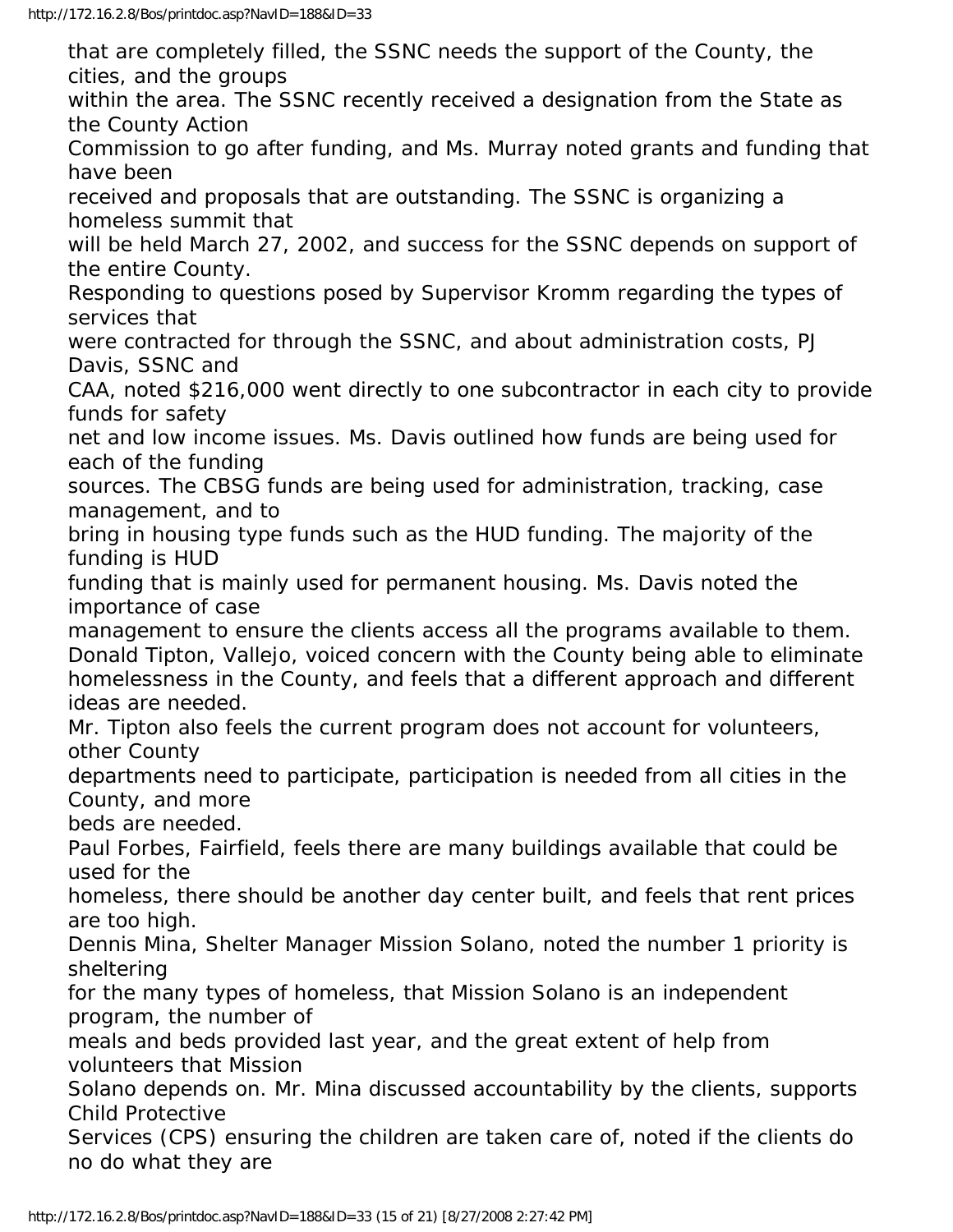that are completely filled, the SSNC needs the support of the County, the cities, and the groups within the area. The SSNC recently received a designation from the State as the County Action Commission to go after funding, and Ms. Murray noted grants and funding that have been received and proposals that are outstanding. The SSNC is organizing a homeless summit that will be held March 27, 2002, and success for the SSNC depends on support of the entire County. Responding to questions posed by Supervisor Kromm regarding the types of services that were contracted for through the SSNC, and about administration costs, PJ Davis, SSNC and CAA, noted \$216,000 went directly to one subcontractor in each city to provide funds for safety net and low income issues. Ms. Davis outlined how funds are being used for each of the funding sources. The CBSG funds are being used for administration, tracking, case management, and to bring in housing type funds such as the HUD funding. The majority of the funding is HUD funding that is mainly used for permanent housing. Ms. Davis noted the importance of case management to ensure the clients access all the programs available to them. Donald Tipton, Vallejo, voiced concern with the County being able to eliminate homelessness in the County, and feels that a different approach and different ideas are needed. Mr. Tipton also feels the current program does not account for volunteers, other County departments need to participate, participation is needed from all cities in the County, and more beds are needed. Paul Forbes, Fairfield, feels there are many buildings available that could be used for the homeless, there should be another day center built, and feels that rent prices are too high. Dennis Mina, Shelter Manager Mission Solano, noted the number 1 priority is sheltering for the many types of homeless, that Mission Solano is an independent program, the number of meals and beds provided last year, and the great extent of help from volunteers that Mission Solano depends on. Mr. Mina discussed accountability by the clients, supports Child Protective Services (CPS) ensuring the children are taken care of, noted if the clients do no do what they are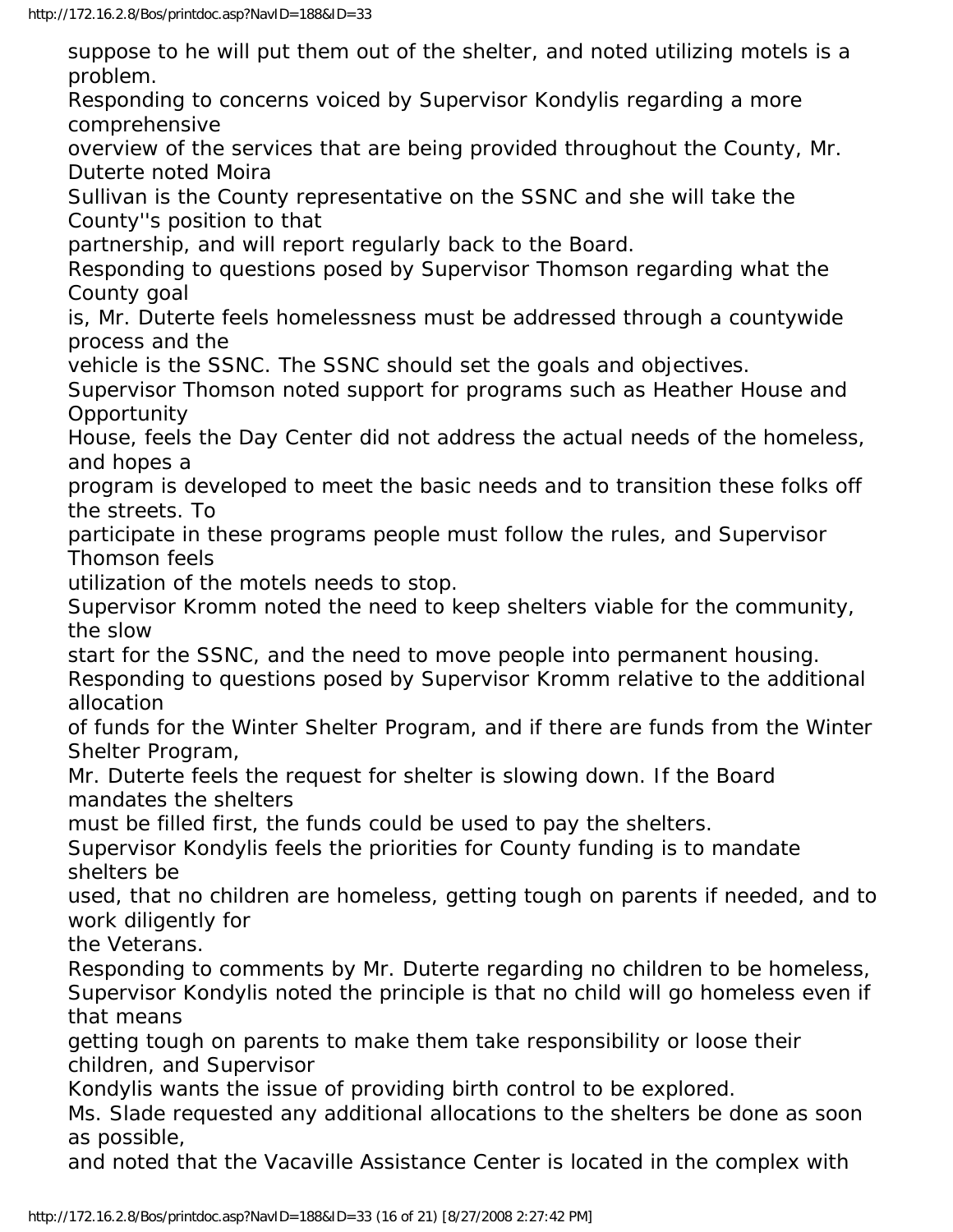suppose to he will put them out of the shelter, and noted utilizing motels is a problem.

Responding to concerns voiced by Supervisor Kondylis regarding a more comprehensive

overview of the services that are being provided throughout the County, Mr. Duterte noted Moira

Sullivan is the County representative on the SSNC and she will take the County''s position to that

partnership, and will report regularly back to the Board.

Responding to questions posed by Supervisor Thomson regarding what the County goal

is, Mr. Duterte feels homelessness must be addressed through a countywide process and the

vehicle is the SSNC. The SSNC should set the goals and objectives.

Supervisor Thomson noted support for programs such as Heather House and **Opportunity** 

House, feels the Day Center did not address the actual needs of the homeless, and hopes a

program is developed to meet the basic needs and to transition these folks off the streets. To

participate in these programs people must follow the rules, and Supervisor Thomson feels

utilization of the motels needs to stop.

Supervisor Kromm noted the need to keep shelters viable for the community, the slow

start for the SSNC, and the need to move people into permanent housing.

Responding to questions posed by Supervisor Kromm relative to the additional allocation

of funds for the Winter Shelter Program, and if there are funds from the Winter Shelter Program,

Mr. Duterte feels the request for shelter is slowing down. If the Board mandates the shelters

must be filled first, the funds could be used to pay the shelters.

Supervisor Kondylis feels the priorities for County funding is to mandate shelters be

used, that no children are homeless, getting tough on parents if needed, and to work diligently for

the Veterans.

Responding to comments by Mr. Duterte regarding no children to be homeless, Supervisor Kondylis noted the principle is that no child will go homeless even if that means

getting tough on parents to make them take responsibility or loose their children, and Supervisor

Kondylis wants the issue of providing birth control to be explored.

Ms. Slade requested any additional allocations to the shelters be done as soon as possible,

and noted that the Vacaville Assistance Center is located in the complex with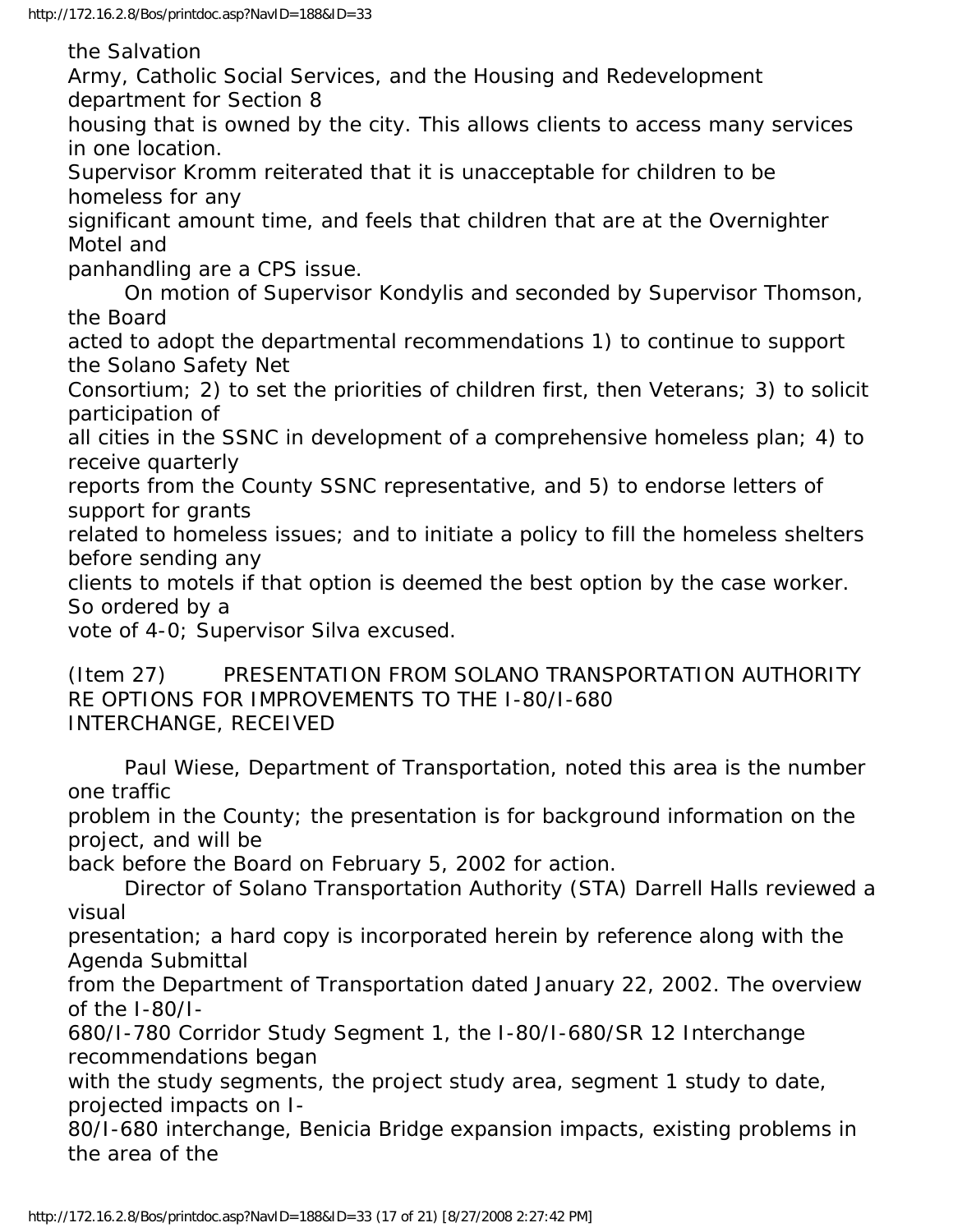the Salvation

Army, Catholic Social Services, and the Housing and Redevelopment department for Section 8

housing that is owned by the city. This allows clients to access many services in one location.

Supervisor Kromm reiterated that it is unacceptable for children to be homeless for any

significant amount time, and feels that children that are at the Overnighter Motel and

panhandling are a CPS issue.

 On motion of Supervisor Kondylis and seconded by Supervisor Thomson, the Board

acted to adopt the departmental recommendations 1) to continue to support the Solano Safety Net

Consortium; 2) to set the priorities of children first, then Veterans; 3) to solicit participation of

all cities in the SSNC in development of a comprehensive homeless plan; 4) to receive quarterly

reports from the County SSNC representative, and 5) to endorse letters of support for grants

related to homeless issues; and to initiate a policy to fill the homeless shelters before sending any

clients to motels if that option is deemed the best option by the case worker. So ordered by a

vote of 4-0; Supervisor Silva excused.

(Item 27) PRESENTATION FROM SOLANO TRANSPORTATION AUTHORITY RE OPTIONS FOR IMPROVEMENTS TO THE I-80/I-680 INTERCHANGE, RECEIVED

 Paul Wiese, Department of Transportation, noted this area is the number one traffic

problem in the County; the presentation is for background information on the project, and will be

back before the Board on February 5, 2002 for action.

 Director of Solano Transportation Authority (STA) Darrell Halls reviewed a visual

presentation; a hard copy is incorporated herein by reference along with the Agenda Submittal

from the Department of Transportation dated January 22, 2002. The overview of the I-80/I-

680/I-780 Corridor Study Segment 1, the I-80/I-680/SR 12 Interchange recommendations began

with the study segments, the project study area, segment 1 study to date, projected impacts on I-

80/I-680 interchange, Benicia Bridge expansion impacts, existing problems in the area of the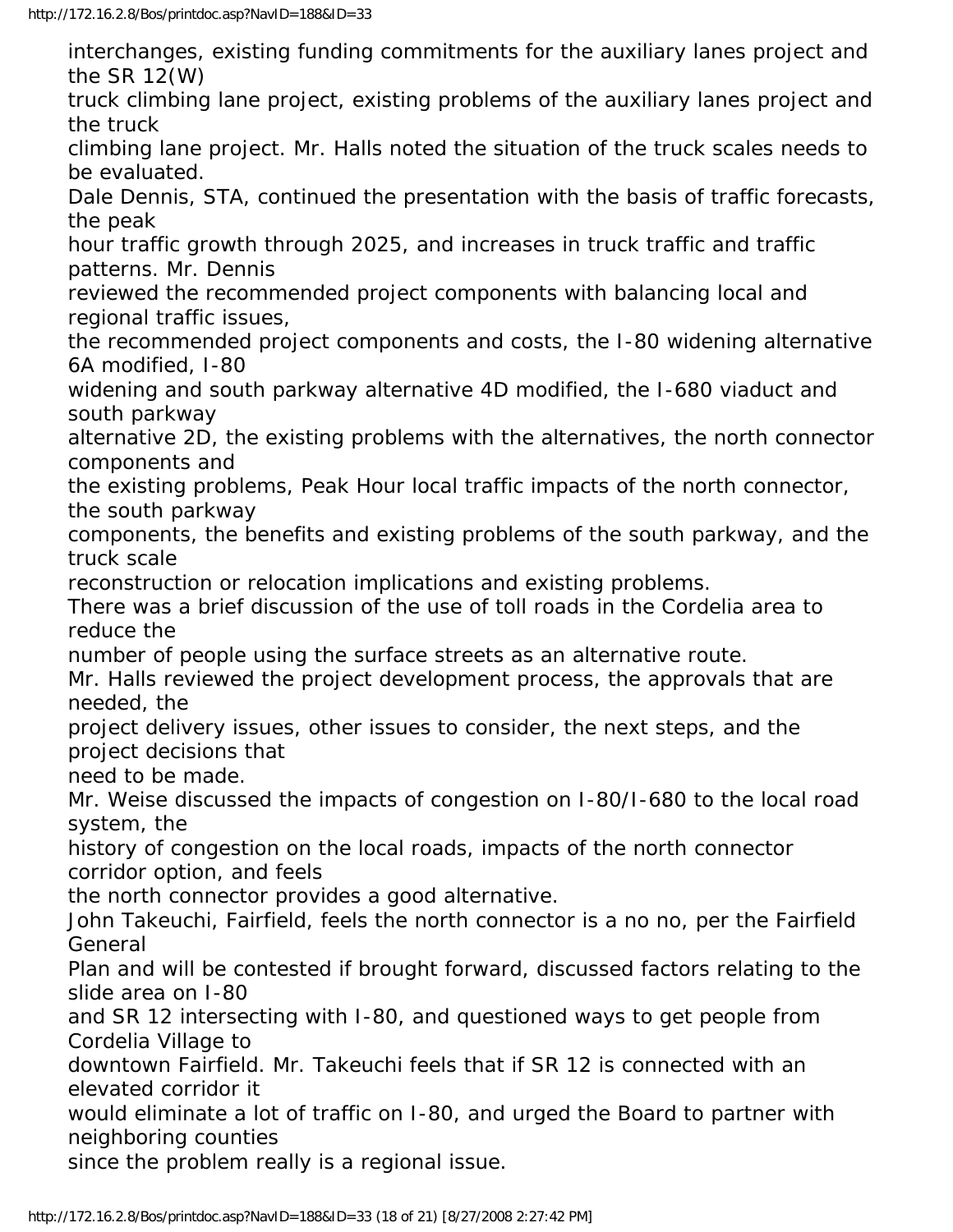interchanges, existing funding commitments for the auxiliary lanes project and the SR 12(W) truck climbing lane project, existing problems of the auxiliary lanes project and the truck climbing lane project. Mr. Halls noted the situation of the truck scales needs to be evaluated. Dale Dennis, STA, continued the presentation with the basis of traffic forecasts, the peak hour traffic growth through 2025, and increases in truck traffic and traffic patterns. Mr. Dennis reviewed the recommended project components with balancing local and regional traffic issues, the recommended project components and costs, the I-80 widening alternative 6A modified, I-80 widening and south parkway alternative 4D modified, the I-680 viaduct and south parkway alternative 2D, the existing problems with the alternatives, the north connector components and the existing problems, Peak Hour local traffic impacts of the north connector, the south parkway components, the benefits and existing problems of the south parkway, and the truck scale reconstruction or relocation implications and existing problems. There was a brief discussion of the use of toll roads in the Cordelia area to reduce the number of people using the surface streets as an alternative route. Mr. Halls reviewed the project development process, the approvals that are needed, the project delivery issues, other issues to consider, the next steps, and the project decisions that need to be made. Mr. Weise discussed the impacts of congestion on I-80/I-680 to the local road system, the history of congestion on the local roads, impacts of the north connector corridor option, and feels the north connector provides a good alternative. John Takeuchi, Fairfield, feels the north connector is a no no, per the Fairfield General Plan and will be contested if brought forward, discussed factors relating to the slide area on I-80 and SR 12 intersecting with I-80, and questioned ways to get people from Cordelia Village to downtown Fairfield. Mr. Takeuchi feels that if SR 12 is connected with an elevated corridor it would eliminate a lot of traffic on I-80, and urged the Board to partner with neighboring counties since the problem really is a regional issue.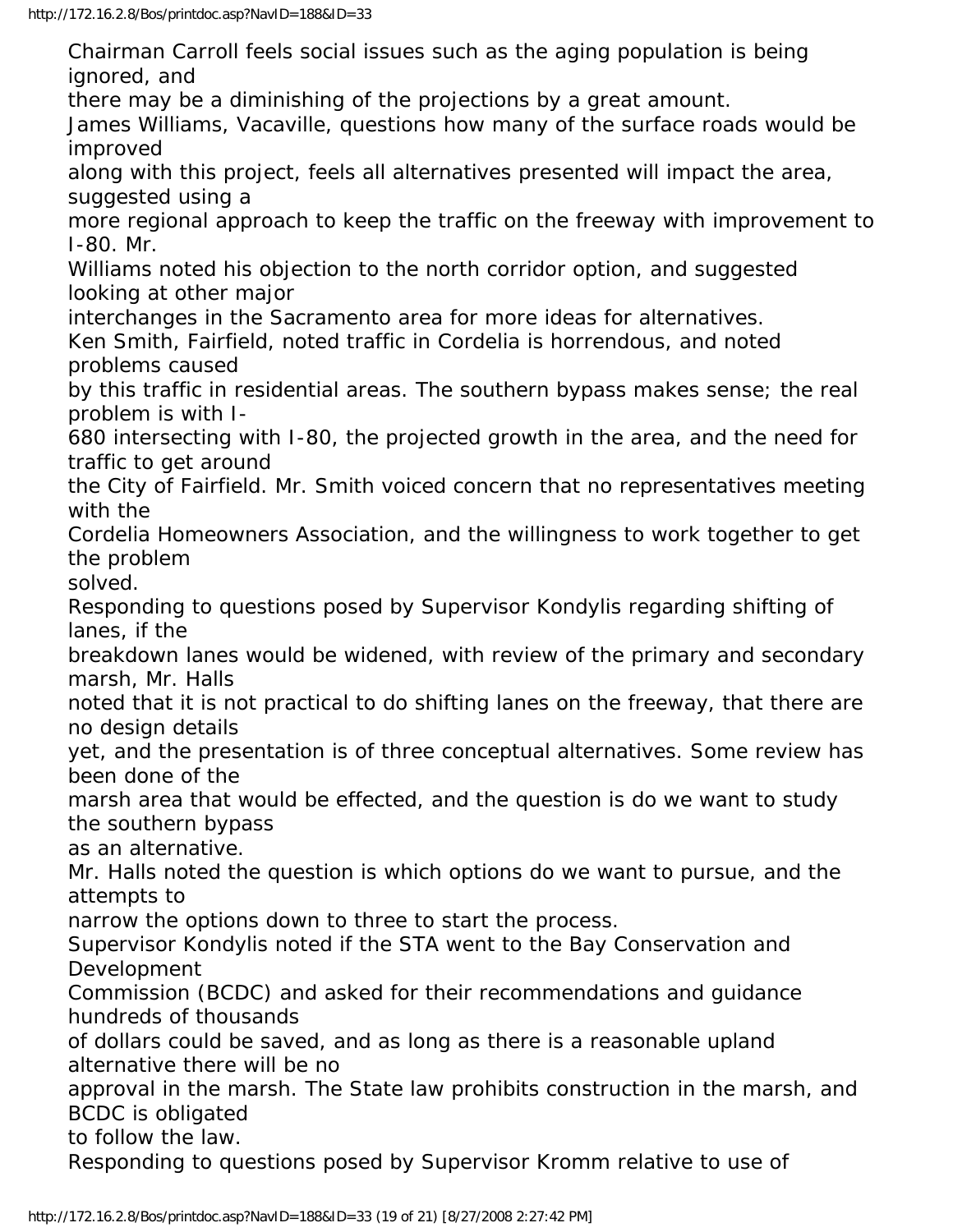Chairman Carroll feels social issues such as the aging population is being ignored, and there may be a diminishing of the projections by a great amount. James Williams, Vacaville, questions how many of the surface roads would be improved along with this project, feels all alternatives presented will impact the area, suggested using a more regional approach to keep the traffic on the freeway with improvement to I-80. Mr. Williams noted his objection to the north corridor option, and suggested looking at other major interchanges in the Sacramento area for more ideas for alternatives. Ken Smith, Fairfield, noted traffic in Cordelia is horrendous, and noted problems caused by this traffic in residential areas. The southern bypass makes sense; the real problem is with I-680 intersecting with I-80, the projected growth in the area, and the need for traffic to get around the City of Fairfield. Mr. Smith voiced concern that no representatives meeting with the Cordelia Homeowners Association, and the willingness to work together to get the problem solved. Responding to questions posed by Supervisor Kondylis regarding shifting of lanes, if the breakdown lanes would be widened, with review of the primary and secondary marsh, Mr. Halls noted that it is not practical to do shifting lanes on the freeway, that there are no design details yet, and the presentation is of three conceptual alternatives. Some review has been done of the marsh area that would be effected, and the question is do we want to study the southern bypass as an alternative. Mr. Halls noted the question is which options do we want to pursue, and the attempts to narrow the options down to three to start the process. Supervisor Kondylis noted if the STA went to the Bay Conservation and Development Commission (BCDC) and asked for their recommendations and guidance hundreds of thousands of dollars could be saved, and as long as there is a reasonable upland alternative there will be no approval in the marsh. The State law prohibits construction in the marsh, and BCDC is obligated to follow the law. Responding to questions posed by Supervisor Kromm relative to use of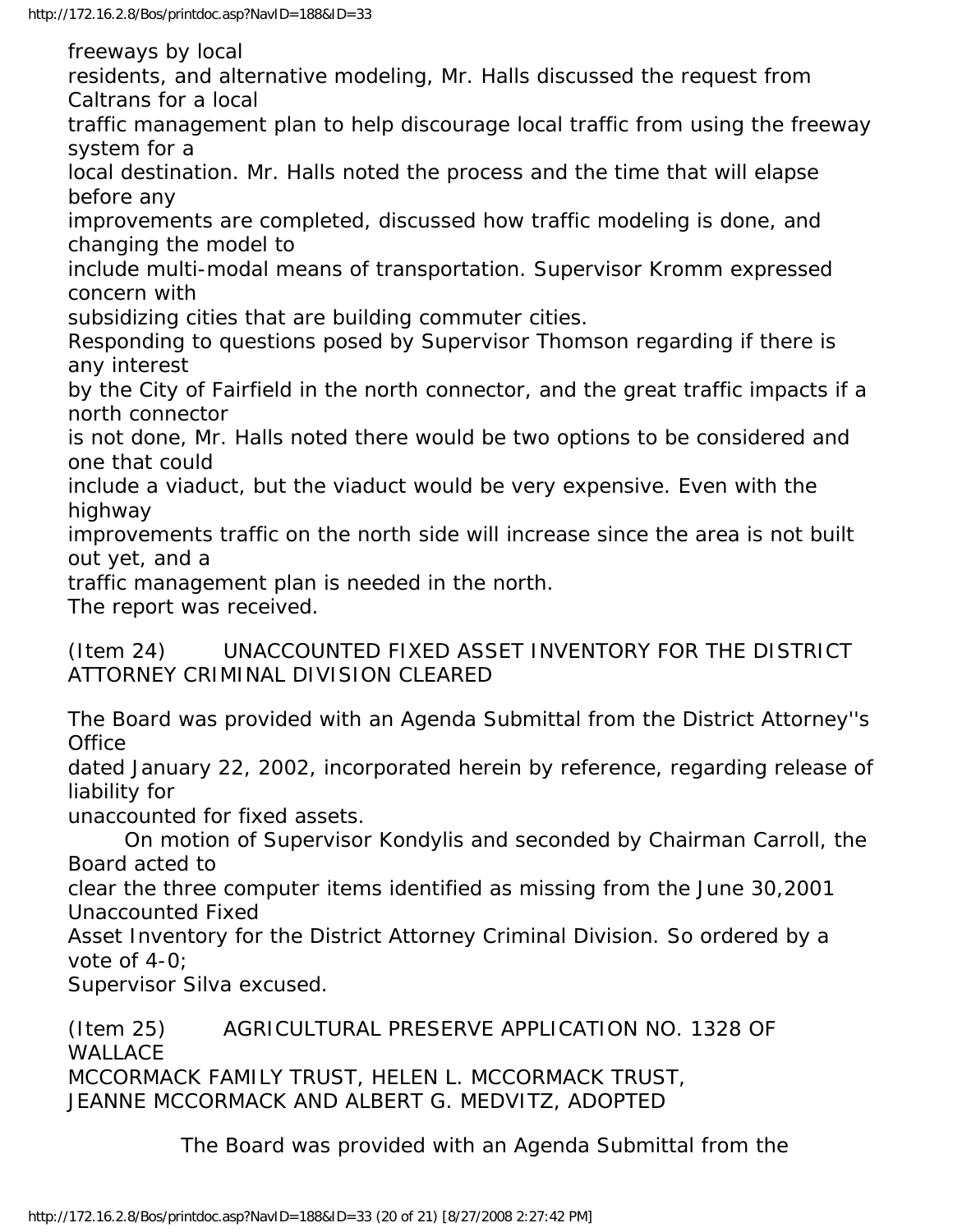freeways by local

residents, and alternative modeling, Mr. Halls discussed the request from Caltrans for a local

traffic management plan to help discourage local traffic from using the freeway system for a

local destination. Mr. Halls noted the process and the time that will elapse before any

improvements are completed, discussed how traffic modeling is done, and changing the model to

include multi-modal means of transportation. Supervisor Kromm expressed concern with

subsidizing cities that are building commuter cities.

Responding to questions posed by Supervisor Thomson regarding if there is any interest

by the City of Fairfield in the north connector, and the great traffic impacts if a north connector

is not done, Mr. Halls noted there would be two options to be considered and one that could

include a viaduct, but the viaduct would be very expensive. Even with the highway

improvements traffic on the north side will increase since the area is not built out yet, and a

traffic management plan is needed in the north.

The report was received.

(Item 24) UNACCOUNTED FIXED ASSET INVENTORY FOR THE DISTRICT ATTORNEY CRIMINAL DIVISION CLEARED

The Board was provided with an Agenda Submittal from the District Attorney''s **Office** 

dated January 22, 2002, incorporated herein by reference, regarding release of liability for

unaccounted for fixed assets.

 On motion of Supervisor Kondylis and seconded by Chairman Carroll, the Board acted to

clear the three computer items identified as missing from the June 30,2001 Unaccounted Fixed

Asset Inventory for the District Attorney Criminal Division. So ordered by a vote of 4-0;

Supervisor Silva excused.

(Item 25) AGRICULTURAL PRESERVE APPLICATION NO. 1328 OF WALLACE MCCORMACK FAMILY TRUST, HELEN L. MCCORMACK TRUST, JEANNE MCCORMACK AND ALBERT G. MEDVITZ, ADOPTED

The Board was provided with an Agenda Submittal from the